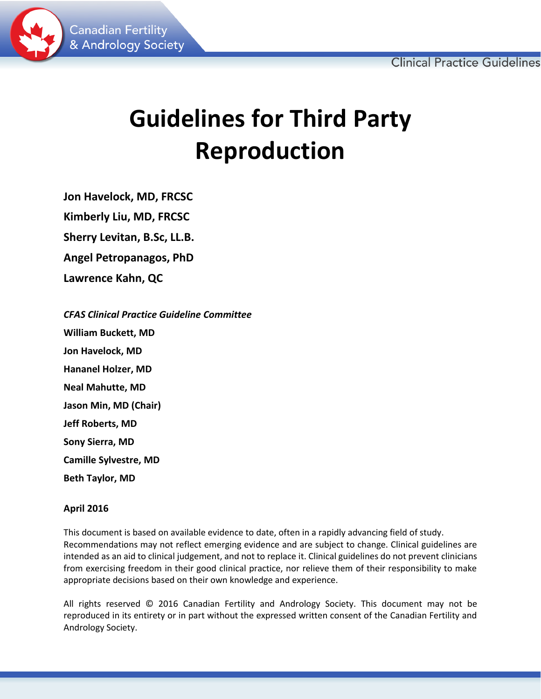

# **Guidelines for Third Party Reproduction**

**Jon Havelock, MD, FRCSC Kimberly Liu, MD, FRCSC Sherry Levitan, B.Sc, LL.B. Angel Petropanagos, PhD Lawrence Kahn, QC**

*CFAS Clinical Practice Guideline Committee* **William Buckett, MD Jon Havelock, MD Hananel Holzer, MD Neal Mahutte, MD Jason Min, MD (Chair) Jeff Roberts, MD Sony Sierra, MD Camille Sylvestre, MD Beth Taylor, MD**

# **April 2016**

This document is based on available evidence to date, often in a rapidly advancing field of study. Recommendations may not reflect emerging evidence and are subject to change. Clinical guidelines are intended as an aid to clinical judgement, and not to replace it. Clinical guidelines do not prevent clinicians from exercising freedom in their good clinical practice, nor relieve them of their responsibility to make appropriate decisions based on their own knowledge and experience.

All rights reserved © 2016 Canadian Fertility and Andrology Society. This document may not be reproduced in its entirety or in part without the expressed written consent of the Canadian Fertility and Andrology Society.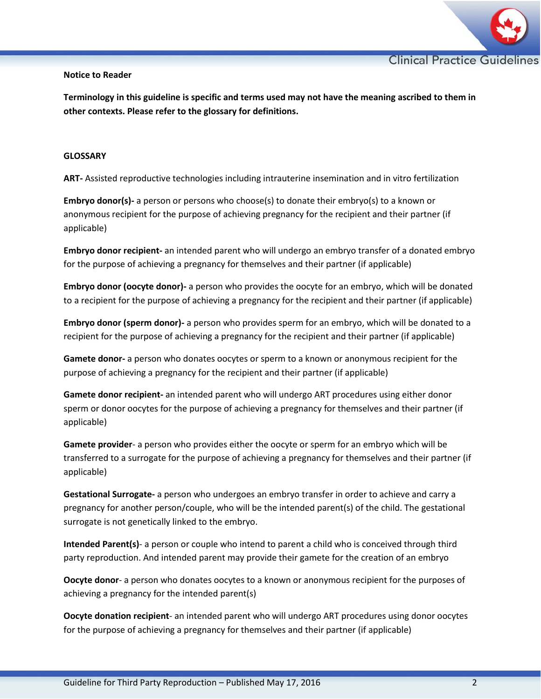

## **Notice to Reader**

**Terminology in this guideline is specific and terms used may not have the meaning ascribed to them in other contexts. Please refer to the glossary for definitions.**

# **GLOSSARY**

**ART-** Assisted reproductive technologies including intrauterine insemination and in vitro fertilization

**Embryo donor(s)-** a person or persons who choose(s) to donate their embryo(s) to a known or anonymous recipient for the purpose of achieving pregnancy for the recipient and their partner (if applicable)

**Embryo donor recipient-** an intended parent who will undergo an embryo transfer of a donated embryo for the purpose of achieving a pregnancy for themselves and their partner (if applicable)

**Embryo donor (oocyte donor)-** a person who provides the oocyte for an embryo, which will be donated to a recipient for the purpose of achieving a pregnancy for the recipient and their partner (if applicable)

**Embryo donor (sperm donor)-** a person who provides sperm for an embryo, which will be donated to a recipient for the purpose of achieving a pregnancy for the recipient and their partner (if applicable)

**Gamete donor-** a person who donates oocytes or sperm to a known or anonymous recipient for the purpose of achieving a pregnancy for the recipient and their partner (if applicable)

**Gamete donor recipient-** an intended parent who will undergo ART procedures using either donor sperm or donor oocytes for the purpose of achieving a pregnancy for themselves and their partner (if applicable)

**Gamete provider**- a person who provides either the oocyte or sperm for an embryo which will be transferred to a surrogate for the purpose of achieving a pregnancy for themselves and their partner (if applicable)

**Gestational Surrogate-** a person who undergoes an embryo transfer in order to achieve and carry a pregnancy for another person/couple, who will be the intended parent(s) of the child. The gestational surrogate is not genetically linked to the embryo.

**Intended Parent(s)**- a person or couple who intend to parent a child who is conceived through third party reproduction. And intended parent may provide their gamete for the creation of an embryo

**Oocyte donor**- a person who donates oocytes to a known or anonymous recipient for the purposes of achieving a pregnancy for the intended parent(s)

**Oocyte donation recipient**- an intended parent who will undergo ART procedures using donor oocytes for the purpose of achieving a pregnancy for themselves and their partner (if applicable)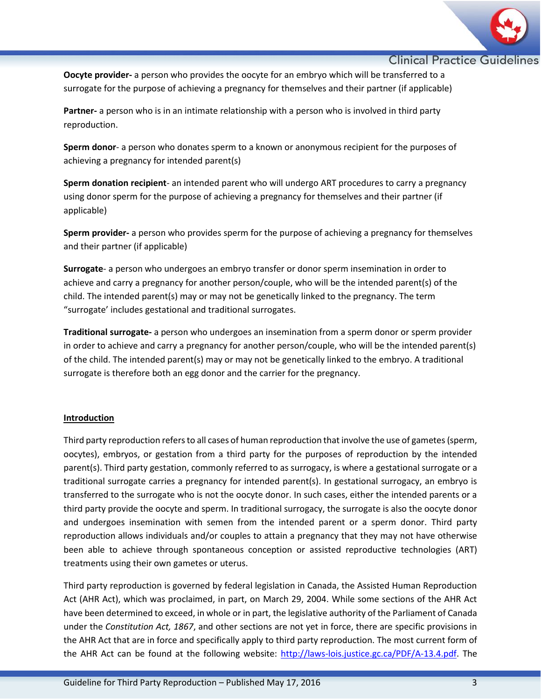

**Oocyte provider-** a person who provides the oocyte for an embryo which will be transferred to a surrogate for the purpose of achieving a pregnancy for themselves and their partner (if applicable)

**Partner-** a person who is in an intimate relationship with a person who is involved in third party reproduction.

**Sperm donor**- a person who donates sperm to a known or anonymous recipient for the purposes of achieving a pregnancy for intended parent(s)

**Sperm donation recipient**- an intended parent who will undergo ART procedures to carry a pregnancy using donor sperm for the purpose of achieving a pregnancy for themselves and their partner (if applicable)

**Sperm provider-** a person who provides sperm for the purpose of achieving a pregnancy for themselves and their partner (if applicable)

**Surrogate**- a person who undergoes an embryo transfer or donor sperm insemination in order to achieve and carry a pregnancy for another person/couple, who will be the intended parent(s) of the child. The intended parent(s) may or may not be genetically linked to the pregnancy. The term "surrogate' includes gestational and traditional surrogates.

**Traditional surrogate-** a person who undergoes an insemination from a sperm donor or sperm provider in order to achieve and carry a pregnancy for another person/couple, who will be the intended parent(s) of the child. The intended parent(s) may or may not be genetically linked to the embryo. A traditional surrogate is therefore both an egg donor and the carrier for the pregnancy.

# **Introduction**

Third party reproduction refers to all cases of human reproduction that involve the use of gametes (sperm, oocytes), embryos, or gestation from a third party for the purposes of reproduction by the intended parent(s). Third party gestation, commonly referred to as surrogacy, is where a gestational surrogate or a traditional surrogate carries a pregnancy for intended parent(s). In gestational surrogacy, an embryo is transferred to the surrogate who is not the oocyte donor. In such cases, either the intended parents or a third party provide the oocyte and sperm. In traditional surrogacy, the surrogate is also the oocyte donor and undergoes insemination with semen from the intended parent or a sperm donor. Third party reproduction allows individuals and/or couples to attain a pregnancy that they may not have otherwise been able to achieve through spontaneous conception or assisted reproductive technologies (ART) treatments using their own gametes or uterus.

Third party reproduction is governed by federal legislation in Canada, the Assisted Human Reproduction Act (AHR Act), which was proclaimed, in part, on March 29, 2004. While some sections of the AHR Act have been determined to exceed, in whole or in part, the legislative authority of the Parliament of Canada under the *Constitution Act, 1867*, and other sections are not yet in force, there are specific provisions in the AHR Act that are in force and specifically apply to third party reproduction. The most current form of the AHR Act can be found at the following website: [http://laws-lois.justice.gc.ca/PDF/A-13.4.pdf.](http://laws-lois.justice.gc.ca/PDF/A-13.4.pdf) The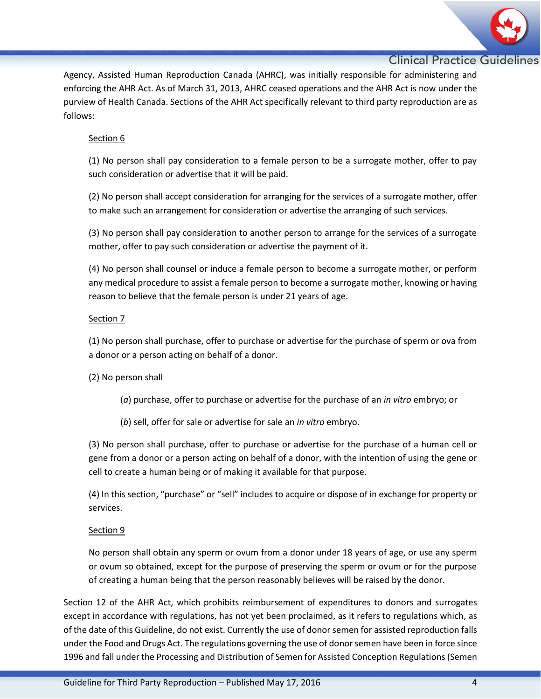

Agency, Assisted Human Reproduction Canada (AHRC), was initially responsible for administering and enforcing the AHR Act. As of March 31, 2013, AHRC ceased operations and the AHR Act is now under the purview of Health Canada. Sections of the AHR Act specifically relevant to third party reproduction are as follows:

# Section 6

(1) No person shall pay consideration to a female person to be a surrogate mother, offer to pay such consideration or advertise that it will be paid.

(2) No person shall accept consideration for arranging for the services of a surrogate mother, offer to make such an arrangement for consideration or advertise the arranging of such services.

(3) No person shall pay consideration to another person to arrange for the services of a surrogate mother, offer to pay such consideration or advertise the payment of it.

(4) No person shall counsel or induce a female person to become a surrogate mother, or perform any medical procedure to assist a female person to become a surrogate mother, knowing or having reason to believe that the female person is under 21 years of age.

# Section 7

(1) No person shall purchase, offer to purchase or advertise for the purchase of sperm or ova from a donor or a person acting on behalf of a donor.

(2) No person shall

- (*a*) purchase, offer to purchase or advertise for the purchase of an *in vitro* embryo; or
- (*b*) sell, offer for sale or advertise for sale an *in vitro* embryo.

(3) No person shall purchase, offer to purchase or advertise for the purchase of a human cell or gene from a donor or a person acting on behalf of a donor, with the intention of using the gene or cell to create a human being or of making it available for that purpose.

(4) In this section, "purchase" or "sell" includes to acquire or dispose of in exchange for property or services.

# Section 9

No person shall obtain any sperm or ovum from a donor under 18 years of age, or use any sperm or ovum so obtained, except for the purpose of preserving the sperm or ovum or for the purpose of creating a human being that the person reasonably believes will be raised by the donor.

Section 12 of the AHR Act, which prohibits reimbursement of expenditures to donors and surrogates except in accordance with regulations, has not yet been proclaimed, as it refers to regulations which, as of the date of this Guideline, do not exist. Currently the use of donor semen for assisted reproduction falls under the Food and Drugs Act. The regulations governing the use of donor semen have been in force since 1996 and fall under the Processing and Distribution of Semen for Assisted Conception Regulations (Semen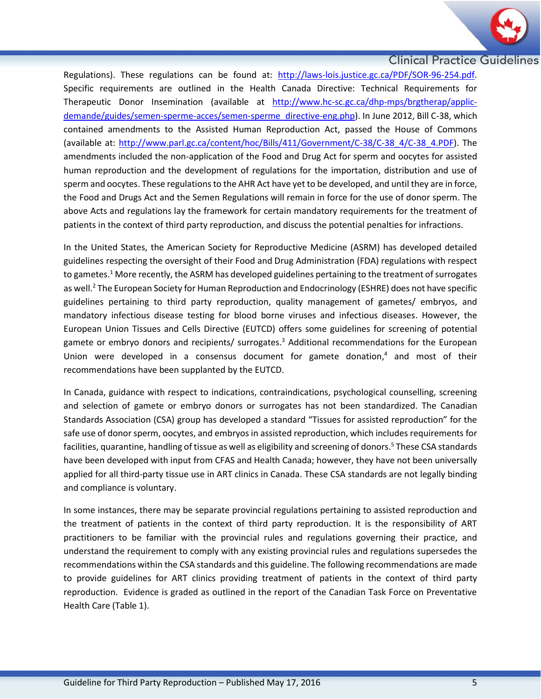

Regulations). These regulations can be found at: http://laws-lois.justice.gc.ca/PDF/SOR-96-254.pdf. Specific requirements are outlined in the Health Canada Directive: Technical Requirements for Therapeutic Donor Insemination (available at [http://www.hc-sc.gc.ca/dhp-mps/brgtherap/applic](http://www.hc-sc.gc.ca/dhp-mps/brgtherap/applic-demande/guides/semen-sperme-acces/semen-sperme_directive-eng.php)[demande/guides/semen-sperme-acces/semen-sperme\\_directive-eng.php\)](http://www.hc-sc.gc.ca/dhp-mps/brgtherap/applic-demande/guides/semen-sperme-acces/semen-sperme_directive-eng.php). In June 2012, Bill C-38, which contained amendments to the Assisted Human Reproduction Act, passed the House of Commons (available at: [http://www.parl.gc.ca/content/hoc/Bills/411/Government/C-38/C-38\\_4/C-38\\_4.PDF\)](http://www.parl.gc.ca/content/hoc/Bills/411/Government/C-38/C-38_4/C-38_4.PDF). The amendments included the non-application of the Food and Drug Act for sperm and oocytes for assisted human reproduction and the development of regulations for the importation, distribution and use of sperm and oocytes. These regulations to the AHR Act have yet to be developed, and until they are in force, the Food and Drugs Act and the Semen Regulations will remain in force for the use of donor sperm. The above Acts and regulations lay the framework for certain mandatory requirements for the treatment of patients in the context of third party reproduction, and discuss the potential penalties for infractions.

In the United States, the American Society for Reproductive Medicine (ASRM) has developed detailed guidelines respecting the oversight of their Food and Drug Administration (FDA) regulations with respect to gametes.<sup>1</sup> More recently, the ASRM has developed guidelines pertaining to the treatment of surrogates as well. <sup>2</sup> The European Society for Human Reproduction and Endocrinology (ESHRE) does not have specific guidelines pertaining to third party reproduction, quality management of gametes/ embryos, and mandatory infectious disease testing for blood borne viruses and infectious diseases. However, the European Union Tissues and Cells Directive (EUTCD) offers some guidelines for screening of potential gamete or embryo donors and recipients/ surrogates.<sup>3</sup> Additional recommendations for the European Union were developed in a consensus document for gamete donation, <sup>4</sup> and most of their recommendations have been supplanted by the EUTCD.

In Canada, guidance with respect to indications, contraindications, psychological counselling, screening and selection of gamete or embryo donors or surrogates has not been standardized. The Canadian Standards Association (CSA) group has developed a standard "Tissues for assisted reproduction" for the safe use of donor sperm, oocytes, and embryos in assisted reproduction, which includes requirements for facilities, quarantine, handling of tissue as well as eligibility and screening of donors. <sup>5</sup> These CSA standards have been developed with input from CFAS and Health Canada; however, they have not been universally applied for all third-party tissue use in ART clinics in Canada. These CSA standards are not legally binding and compliance is voluntary.

In some instances, there may be separate provincial regulations pertaining to assisted reproduction and the treatment of patients in the context of third party reproduction. It is the responsibility of ART practitioners to be familiar with the provincial rules and regulations governing their practice, and understand the requirement to comply with any existing provincial rules and regulations supersedes the recommendations within the CSA standards and this guideline. The following recommendations are made to provide guidelines for ART clinics providing treatment of patients in the context of third party reproduction. Evidence is graded as outlined in the report of the Canadian Task Force on Preventative Health Care (Table 1).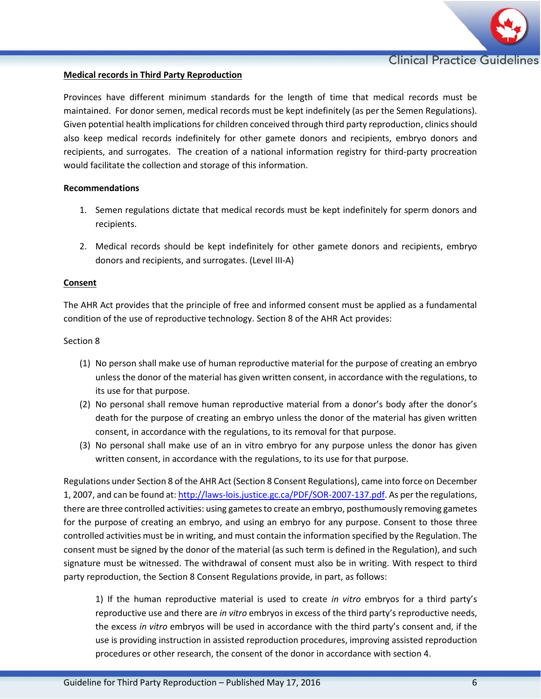

# **Medical records in Third Party Reproduction**

Provinces have different minimum standards for the length of time that medical records must be maintained. For donor semen, medical records must be kept indefinitely (as per the Semen Regulations). Given potential health implications for children conceived through third party reproduction, clinics should also keep medical records indefinitely for other gamete donors and recipients, embryo donors and recipients, and surrogates. The creation of a national information registry for third-party procreation would facilitate the collection and storage of this information.

#### **Recommendations**

- 1. Semen regulations dictate that medical records must be kept indefinitely for sperm donors and recipients.
- 2. Medical records should be kept indefinitely for other gamete donors and recipients, embryo donors and recipients, and surrogates. (Level III-A)

# **Consent**

The AHR Act provides that the principle of free and informed consent must be applied as a fundamental condition of the use of reproductive technology. Section 8 of the AHR Act provides:

#### Section 8

- (1) No person shall make use of human reproductive material for the purpose of creating an embryo unless the donor of the material has given written consent, in accordance with the regulations, to its use for that purpose.
- (2) No personal shall remove human reproductive material from a donor's body after the donor's death for the purpose of creating an embryo unless the donor of the material has given written consent, in accordance with the regulations, to its removal for that purpose.
- (3) No personal shall make use of an in vitro embryo for any purpose unless the donor has given written consent, in accordance with the regulations, to its use for that purpose.

Regulations under Section 8 of the AHR Act (Section 8 Consent Regulations), came into force on December 1, 2007, and can be found at: [http://laws-lois.justice.gc.ca/PDF/SOR-2007-137.pdf.](http://laws-lois.justice.gc.ca/PDF/SOR-2007-137.pdf) As per the regulations, there are three controlled activities: using gametes to create an embryo, posthumously removing gametes for the purpose of creating an embryo, and using an embryo for any purpose. Consent to those three controlled activities must be in writing, and must contain the information specified by the Regulation. The consent must be signed by the donor of the material (as such term is defined in the Regulation), and such signature must be witnessed. The withdrawal of consent must also be in writing. With respect to third party reproduction, the Section 8 Consent Regulations provide, in part, as follows:

1) If the human reproductive material is used to create *in vitro* embryos for a third party's reproductive use and there are *in vitro* embryos in excess of the third party's reproductive needs, the excess *in vitro* embryos will be used in accordance with the third party's consent and, if the use is providing instruction in assisted reproduction procedures, improving assisted reproduction procedures or other research, the consent of the donor in accordance with section 4.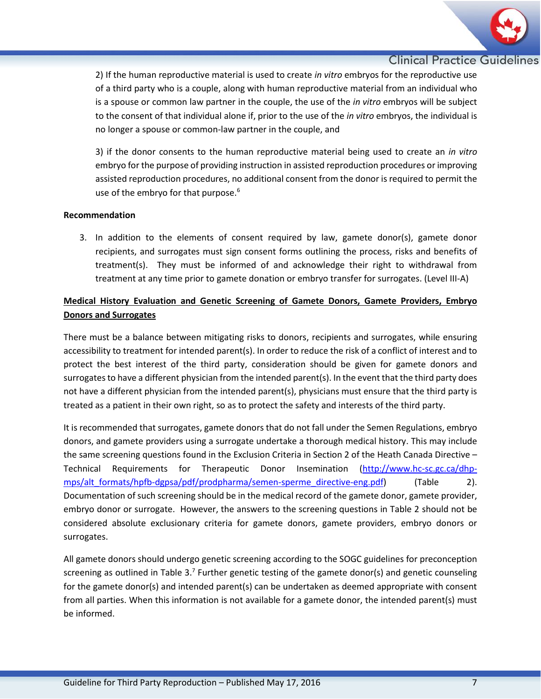

2) If the human reproductive material is used to create *in vitro* embryos for the reproductive use of a third party who is a couple, along with human reproductive material from an individual who is a spouse or common law partner in the couple, the use of the *in vitro* embryos will be subject to the consent of that individual alone if, prior to the use of the *in vitro* embryos, the individual is no longer a spouse or common-law partner in the couple, and

3) if the donor consents to the human reproductive material being used to create an *in vitro*  embryo for the purpose of providing instruction in assisted reproduction procedures or improving assisted reproduction procedures, no additional consent from the donor is required to permit the use of the embryo for that purpose.<sup>6</sup>

# **Recommendation**

3. In addition to the elements of consent required by law, gamete donor(s), gamete donor recipients, and surrogates must sign consent forms outlining the process, risks and benefits of treatment(s). They must be informed of and acknowledge their right to withdrawal from treatment at any time prior to gamete donation or embryo transfer for surrogates. (Level III-A)

# **Medical History Evaluation and Genetic Screening of Gamete Donors, Gamete Providers, Embryo Donors and Surrogates**

There must be a balance between mitigating risks to donors, recipients and surrogates, while ensuring accessibility to treatment for intended parent(s). In order to reduce the risk of a conflict of interest and to protect the best interest of the third party, consideration should be given for gamete donors and surrogates to have a different physician from the intended parent(s). In the event that the third party does not have a different physician from the intended parent(s), physicians must ensure that the third party is treated as a patient in their own right, so as to protect the safety and interests of the third party.

It is recommended that surrogates, gamete donors that do not fall under the Semen Regulations, embryo donors, and gamete providers using a surrogate undertake a thorough medical history. This may include the same screening questions found in the Exclusion Criteria in Section 2 of the Heath Canada Directive – Technical Requirements for Therapeutic Donor Insemination [\(http://www.hc-sc.gc.ca/dhp](http://www.hc-sc.gc.ca/dhp-mps/alt_formats/hpfb-dgpsa/pdf/prodpharma/semen-sperme_directive-eng.pdf)mps/alt formats/hpfb-dgpsa/pdf/prodpharma/semen-sperme\_directive-eng.pdf) (Table 2). Documentation of such screening should be in the medical record of the gamete donor, gamete provider, embryo donor or surrogate. However, the answers to the screening questions in Table 2 should not be considered absolute exclusionary criteria for gamete donors, gamete providers, embryo donors or surrogates.

All gamete donors should undergo genetic screening according to the SOGC guidelines for preconception screening as outlined in Table 3.<sup>7</sup> Further genetic testing of the gamete donor(s) and genetic counseling for the gamete donor(s) and intended parent(s) can be undertaken as deemed appropriate with consent from all parties. When this information is not available for a gamete donor, the intended parent(s) must be informed.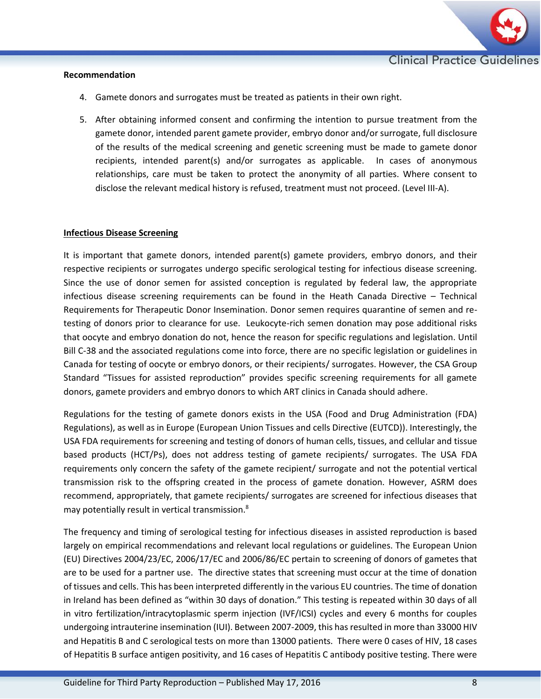

#### **Recommendation**

- 4. Gamete donors and surrogates must be treated as patients in their own right.
- 5. After obtaining informed consent and confirming the intention to pursue treatment from the gamete donor, intended parent gamete provider, embryo donor and/or surrogate, full disclosure of the results of the medical screening and genetic screening must be made to gamete donor recipients, intended parent(s) and/or surrogates as applicable. In cases of anonymous relationships, care must be taken to protect the anonymity of all parties. Where consent to disclose the relevant medical history is refused, treatment must not proceed. (Level III-A).

# **Infectious Disease Screening**

It is important that gamete donors, intended parent(s) gamete providers, embryo donors, and their respective recipients or surrogates undergo specific serological testing for infectious disease screening. Since the use of donor semen for assisted conception is regulated by federal law, the appropriate infectious disease screening requirements can be found in the Heath Canada Directive – Technical Requirements for Therapeutic Donor Insemination. Donor semen requires quarantine of semen and retesting of donors prior to clearance for use. Leukocyte-rich semen donation may pose additional risks that oocyte and embryo donation do not, hence the reason for specific regulations and legislation. Until Bill C-38 and the associated regulations come into force, there are no specific legislation or guidelines in Canada for testing of oocyte or embryo donors, or their recipients/ surrogates. However, the CSA Group Standard "Tissues for assisted reproduction" provides specific screening requirements for all gamete donors, gamete providers and embryo donors to which ART clinics in Canada should adhere.

Regulations for the testing of gamete donors exists in the USA (Food and Drug Administration (FDA) Regulations), as well as in Europe (European Union Tissues and cells Directive (EUTCD)). Interestingly, the USA FDA requirements for screening and testing of donors of human cells, tissues, and cellular and tissue based products (HCT/Ps), does not address testing of gamete recipients/ surrogates. The USA FDA requirements only concern the safety of the gamete recipient/ surrogate and not the potential vertical transmission risk to the offspring created in the process of gamete donation. However, ASRM does recommend, appropriately, that gamete recipients/ surrogates are screened for infectious diseases that may potentially result in vertical transmission.<sup>8</sup>

The frequency and timing of serological testing for infectious diseases in assisted reproduction is based largely on empirical recommendations and relevant local regulations or guidelines. The European Union (EU) Directives 2004/23/EC, 2006/17/EC and 2006/86/EC pertain to screening of donors of gametes that are to be used for a partner use. The directive states that screening must occur at the time of donation of tissues and cells. This has been interpreted differently in the various EU countries. The time of donation in Ireland has been defined as "within 30 days of donation." This testing is repeated within 30 days of all in vitro fertilization/intracytoplasmic sperm injection (IVF/ICSI) cycles and every 6 months for couples undergoing intrauterine insemination (IUI). Between 2007-2009, this has resulted in more than 33000 HIV and Hepatitis B and C serological tests on more than 13000 patients. There were 0 cases of HIV, 18 cases of Hepatitis B surface antigen positivity, and 16 cases of Hepatitis C antibody positive testing. There were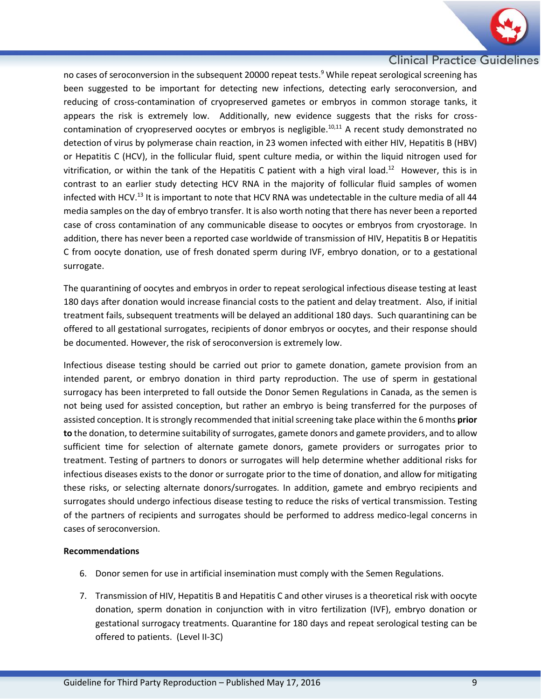

no cases of seroconversion in the subsequent 20000 repeat tests.<sup>9</sup> While repeat serological screening has been suggested to be important for detecting new infections, detecting early seroconversion, and reducing of cross-contamination of cryopreserved gametes or embryos in common storage tanks, it appears the risk is extremely low. Additionally, new evidence suggests that the risks for crosscontamination of cryopreserved oocytes or embryos is negligible.<sup>10,11</sup> A recent study demonstrated no detection of virus by polymerase chain reaction, in 23 women infected with either HIV, Hepatitis B (HBV) or Hepatitis C (HCV), in the follicular fluid, spent culture media, or within the liquid nitrogen used for vitrification, or within the tank of the Hepatitis C patient with a high viral load.<sup>12</sup> However, this is in contrast to an earlier study detecting HCV RNA in the majority of follicular fluid samples of women infected with HCV.<sup>13</sup> It is important to note that HCV RNA was undetectable in the culture media of all 44 media samples on the day of embryo transfer. It is also worth noting that there has never been a reported case of cross contamination of any communicable disease to oocytes or embryos from cryostorage. In addition, there has never been a reported case worldwide of transmission of HIV, Hepatitis B or Hepatitis C from oocyte donation, use of fresh donated sperm during IVF, embryo donation, or to a gestational surrogate.

The quarantining of oocytes and embryos in order to repeat serological infectious disease testing at least 180 days after donation would increase financial costs to the patient and delay treatment. Also, if initial treatment fails, subsequent treatments will be delayed an additional 180 days. Such quarantining can be offered to all gestational surrogates, recipients of donor embryos or oocytes, and their response should be documented. However, the risk of seroconversion is extremely low.

Infectious disease testing should be carried out prior to gamete donation, gamete provision from an intended parent, or embryo donation in third party reproduction. The use of sperm in gestational surrogacy has been interpreted to fall outside the Donor Semen Regulations in Canada, as the semen is not being used for assisted conception, but rather an embryo is being transferred for the purposes of assisted conception. It is strongly recommended that initial screening take place within the 6 months **prior to** the donation, to determine suitability of surrogates, gamete donors and gamete providers, and to allow sufficient time for selection of alternate gamete donors, gamete providers or surrogates prior to treatment. Testing of partners to donors or surrogates will help determine whether additional risks for infectious diseases exists to the donor or surrogate prior to the time of donation, and allow for mitigating these risks, or selecting alternate donors/surrogates. In addition, gamete and embryo recipients and surrogates should undergo infectious disease testing to reduce the risks of vertical transmission. Testing of the partners of recipients and surrogates should be performed to address medico-legal concerns in cases of seroconversion.

# **Recommendations**

- 6. Donor semen for use in artificial insemination must comply with the Semen Regulations.
- 7. Transmission of HIV, Hepatitis B and Hepatitis C and other viruses is a theoretical risk with oocyte donation, sperm donation in conjunction with in vitro fertilization (IVF), embryo donation or gestational surrogacy treatments. Quarantine for 180 days and repeat serological testing can be offered to patients. (Level II-3C)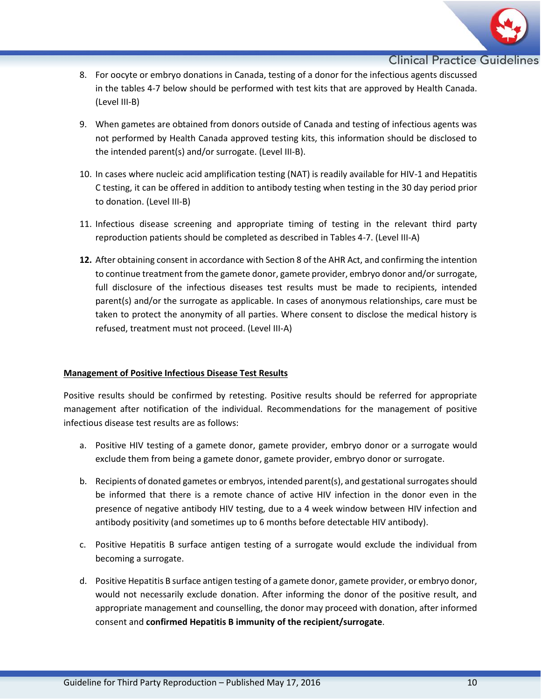

- 8. For oocyte or embryo donations in Canada, testing of a donor for the infectious agents discussed in the tables 4-7 below should be performed with test kits that are approved by Health Canada. (Level III-B)
- 9. When gametes are obtained from donors outside of Canada and testing of infectious agents was not performed by Health Canada approved testing kits, this information should be disclosed to the intended parent(s) and/or surrogate. (Level III-B).
- 10. In cases where nucleic acid amplification testing (NAT) is readily available for HIV-1 and Hepatitis C testing, it can be offered in addition to antibody testing when testing in the 30 day period prior to donation. (Level III-B)
- 11. Infectious disease screening and appropriate timing of testing in the relevant third party reproduction patients should be completed as described in Tables 4-7. (Level III-A)
- **12.** After obtaining consent in accordance with Section 8 of the AHR Act, and confirming the intention to continue treatment from the gamete donor, gamete provider, embryo donor and/or surrogate, full disclosure of the infectious diseases test results must be made to recipients, intended parent(s) and/or the surrogate as applicable. In cases of anonymous relationships, care must be taken to protect the anonymity of all parties. Where consent to disclose the medical history is refused, treatment must not proceed. (Level III-A)

# **Management of Positive Infectious Disease Test Results**

Positive results should be confirmed by retesting. Positive results should be referred for appropriate management after notification of the individual. Recommendations for the management of positive infectious disease test results are as follows:

- a. Positive HIV testing of a gamete donor, gamete provider, embryo donor or a surrogate would exclude them from being a gamete donor, gamete provider, embryo donor or surrogate.
- b. Recipients of donated gametes or embryos, intended parent(s), and gestational surrogatesshould be informed that there is a remote chance of active HIV infection in the donor even in the presence of negative antibody HIV testing, due to a 4 week window between HIV infection and antibody positivity (and sometimes up to 6 months before detectable HIV antibody).
- c. Positive Hepatitis B surface antigen testing of a surrogate would exclude the individual from becoming a surrogate.
- d. Positive Hepatitis B surface antigen testing of a gamete donor, gamete provider, or embryo donor, would not necessarily exclude donation. After informing the donor of the positive result, and appropriate management and counselling, the donor may proceed with donation, after informed consent and **confirmed Hepatitis B immunity of the recipient/surrogate**.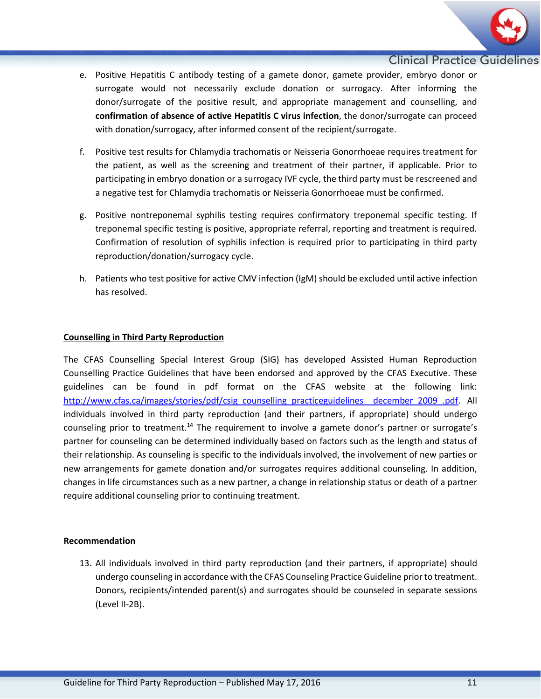

- e. Positive Hepatitis C antibody testing of a gamete donor, gamete provider, embryo donor or surrogate would not necessarily exclude donation or surrogacy. After informing the donor/surrogate of the positive result, and appropriate management and counselling, and **confirmation of absence of active Hepatitis C virus infection**, the donor/surrogate can proceed with donation/surrogacy, after informed consent of the recipient/surrogate.
- f. Positive test results for Chlamydia trachomatis or Neisseria Gonorrhoeae requires treatment for the patient, as well as the screening and treatment of their partner, if applicable. Prior to participating in embryo donation or a surrogacy IVF cycle, the third party must be rescreened and a negative test for Chlamydia trachomatis or Neisseria Gonorrhoeae must be confirmed.
- g. Positive nontreponemal syphilis testing requires confirmatory treponemal specific testing. If treponemal specific testing is positive, appropriate referral, reporting and treatment is required. Confirmation of resolution of syphilis infection is required prior to participating in third party reproduction/donation/surrogacy cycle.
- h. Patients who test positive for active CMV infection (IgM) should be excluded until active infection has resolved.

# **Counselling in Third Party Reproduction**

The CFAS Counselling Special Interest Group (SIG) has developed Assisted Human Reproduction Counselling Practice Guidelines that have been endorsed and approved by the CFAS Executive. These guidelines can be found in pdf format on the CFAS website at the following link: [http://www.cfas.ca/images/stories/pdf/csig\\_counselling\\_practiceguidelines\\_\\_december\\_2009\\_.pdf.](http://www.cfas.ca/images/stories/pdf/csig_counselling_practiceguidelines__december_2009_.pdf) All individuals involved in third party reproduction (and their partners, if appropriate) should undergo counseling prior to treatment.<sup>14</sup> The requirement to involve a gamete donor's partner or surrogate's partner for counseling can be determined individually based on factors such as the length and status of their relationship. As counseling is specific to the individuals involved, the involvement of new parties or new arrangements for gamete donation and/or surrogates requires additional counseling. In addition, changes in life circumstances such as a new partner, a change in relationship status or death of a partner require additional counseling prior to continuing treatment.

# **Recommendation**

13. All individuals involved in third party reproduction (and their partners, if appropriate) should undergo counseling in accordance with the CFAS Counseling Practice Guideline prior to treatment. Donors, recipients/intended parent(s) and surrogates should be counseled in separate sessions (Level II-2B).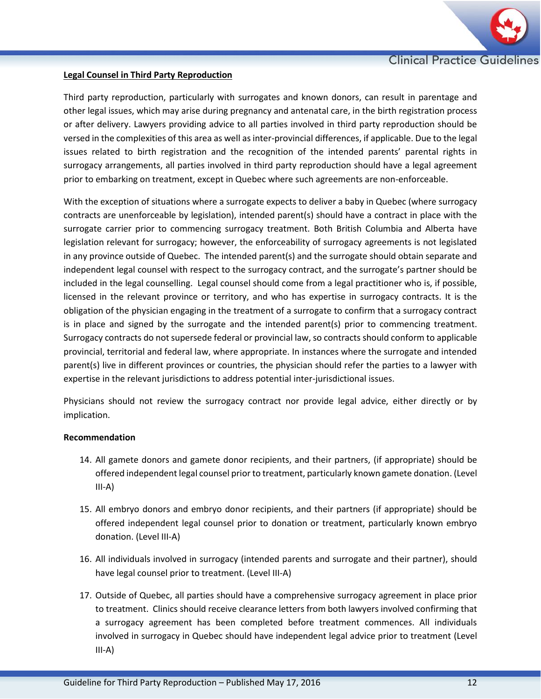

# **Legal Counsel in Third Party Reproduction**

Third party reproduction, particularly with surrogates and known donors, can result in parentage and other legal issues, which may arise during pregnancy and antenatal care, in the birth registration process or after delivery. Lawyers providing advice to all parties involved in third party reproduction should be versed in the complexities of this area as well as inter-provincial differences, if applicable. Due to the legal issues related to birth registration and the recognition of the intended parents' parental rights in surrogacy arrangements, all parties involved in third party reproduction should have a legal agreement prior to embarking on treatment, except in Quebec where such agreements are non-enforceable.

With the exception of situations where a surrogate expects to deliver a baby in Quebec (where surrogacy contracts are unenforceable by legislation), intended parent(s) should have a contract in place with the surrogate carrier prior to commencing surrogacy treatment. Both British Columbia and Alberta have legislation relevant for surrogacy; however, the enforceability of surrogacy agreements is not legislated in any province outside of Quebec. The intended parent(s) and the surrogate should obtain separate and independent legal counsel with respect to the surrogacy contract, and the surrogate's partner should be included in the legal counselling. Legal counsel should come from a legal practitioner who is, if possible, licensed in the relevant province or territory, and who has expertise in surrogacy contracts. It is the obligation of the physician engaging in the treatment of a surrogate to confirm that a surrogacy contract is in place and signed by the surrogate and the intended parent(s) prior to commencing treatment. Surrogacy contracts do not supersede federal or provincial law, so contracts should conform to applicable provincial, territorial and federal law, where appropriate. In instances where the surrogate and intended parent(s) live in different provinces or countries, the physician should refer the parties to a lawyer with expertise in the relevant jurisdictions to address potential inter-jurisdictional issues.

Physicians should not review the surrogacy contract nor provide legal advice, either directly or by implication.

# **Recommendation**

- 14. All gamete donors and gamete donor recipients, and their partners, (if appropriate) should be offered independent legal counsel prior to treatment, particularly known gamete donation. (Level III-A)
- 15. All embryo donors and embryo donor recipients, and their partners (if appropriate) should be offered independent legal counsel prior to donation or treatment, particularly known embryo donation. (Level III-A)
- 16. All individuals involved in surrogacy (intended parents and surrogate and their partner), should have legal counsel prior to treatment. (Level III-A)
- 17. Outside of Quebec, all parties should have a comprehensive surrogacy agreement in place prior to treatment. Clinics should receive clearance letters from both lawyers involved confirming that a surrogacy agreement has been completed before treatment commences. All individuals involved in surrogacy in Quebec should have independent legal advice prior to treatment (Level III-A)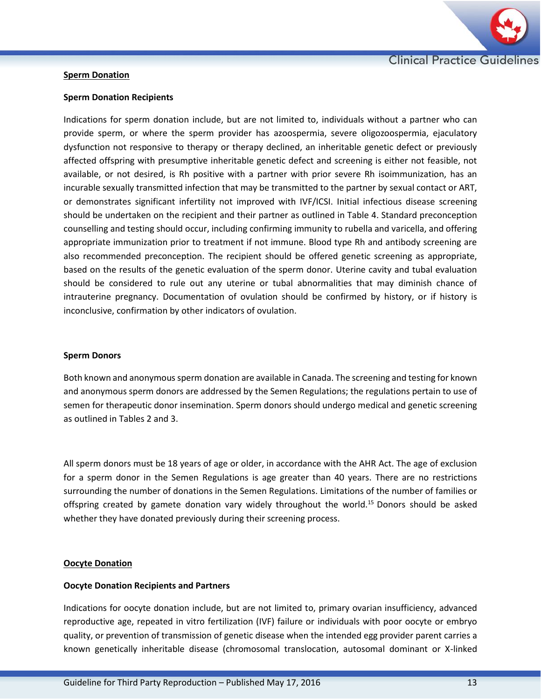

## **Sperm Donation**

#### **Sperm Donation Recipients**

Indications for sperm donation include, but are not limited to, individuals without a partner who can provide sperm, or where the sperm provider has azoospermia, severe oligozoospermia, ejaculatory dysfunction not responsive to therapy or therapy declined, an inheritable genetic defect or previously affected offspring with presumptive inheritable genetic defect and screening is either not feasible, not available, or not desired, is Rh positive with a partner with prior severe Rh isoimmunization, has an incurable sexually transmitted infection that may be transmitted to the partner by sexual contact or ART, or demonstrates significant infertility not improved with IVF/ICSI. Initial infectious disease screening should be undertaken on the recipient and their partner as outlined in Table 4. Standard preconception counselling and testing should occur, including confirming immunity to rubella and varicella, and offering appropriate immunization prior to treatment if not immune. Blood type Rh and antibody screening are also recommended preconception. The recipient should be offered genetic screening as appropriate, based on the results of the genetic evaluation of the sperm donor. Uterine cavity and tubal evaluation should be considered to rule out any uterine or tubal abnormalities that may diminish chance of intrauterine pregnancy. Documentation of ovulation should be confirmed by history, or if history is inconclusive, confirmation by other indicators of ovulation.

#### **Sperm Donors**

Both known and anonymous sperm donation are available in Canada. The screening and testing for known and anonymous sperm donors are addressed by the Semen Regulations; the regulations pertain to use of semen for therapeutic donor insemination. Sperm donors should undergo medical and genetic screening as outlined in Tables 2 and 3.

All sperm donors must be 18 years of age or older, in accordance with the AHR Act. The age of exclusion for a sperm donor in the Semen Regulations is age greater than 40 years. There are no restrictions surrounding the number of donations in the Semen Regulations. Limitations of the number of families or offspring created by gamete donation vary widely throughout the world.<sup>15</sup> Donors should be asked whether they have donated previously during their screening process.

# **Oocyte Donation**

# **Oocyte Donation Recipients and Partners**

Indications for oocyte donation include, but are not limited to, primary ovarian insufficiency, advanced reproductive age, repeated in vitro fertilization (IVF) failure or individuals with poor oocyte or embryo quality, or prevention of transmission of genetic disease when the intended egg provider parent carries a known genetically inheritable disease (chromosomal translocation, autosomal dominant or X-linked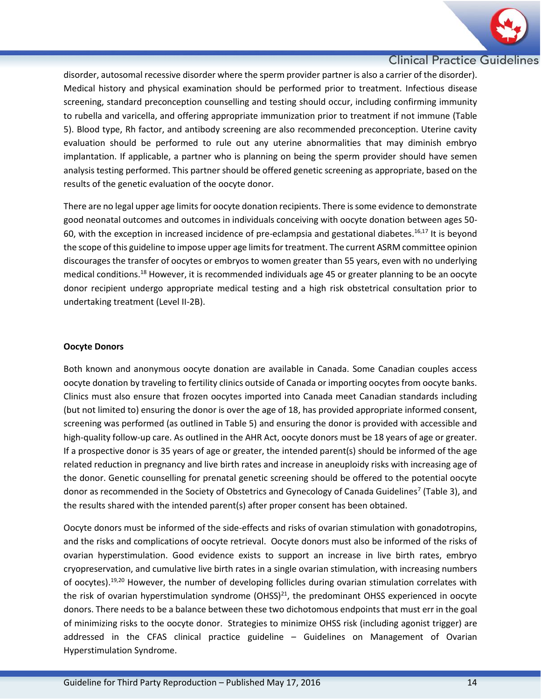

disorder, autosomal recessive disorder where the sperm provider partner is also a carrier of the disorder). Medical history and physical examination should be performed prior to treatment. Infectious disease screening, standard preconception counselling and testing should occur, including confirming immunity to rubella and varicella, and offering appropriate immunization prior to treatment if not immune (Table 5). Blood type, Rh factor, and antibody screening are also recommended preconception. Uterine cavity evaluation should be performed to rule out any uterine abnormalities that may diminish embryo implantation. If applicable, a partner who is planning on being the sperm provider should have semen analysis testing performed. This partner should be offered genetic screening as appropriate, based on the results of the genetic evaluation of the oocyte donor.

There are no legal upper age limits for oocyte donation recipients. There is some evidence to demonstrate good neonatal outcomes and outcomes in individuals conceiving with oocyte donation between ages 50- 60, with the exception in increased incidence of pre-eclampsia and gestational diabetes. 16,17 It is beyond the scope of this guideline to impose upper age limits for treatment. The current ASRM committee opinion discourages the transfer of oocytes or embryos to women greater than 55 years, even with no underlying medical conditions.<sup>18</sup> However, it is recommended individuals age 45 or greater planning to be an oocyte donor recipient undergo appropriate medical testing and a high risk obstetrical consultation prior to undertaking treatment (Level II-2B).

# **Oocyte Donors**

Both known and anonymous oocyte donation are available in Canada. Some Canadian couples access oocyte donation by traveling to fertility clinics outside of Canada or importing oocytes from oocyte banks. Clinics must also ensure that frozen oocytes imported into Canada meet Canadian standards including (but not limited to) ensuring the donor is over the age of 18, has provided appropriate informed consent, screening was performed (as outlined in Table 5) and ensuring the donor is provided with accessible and high-quality follow-up care. As outlined in the AHR Act, oocyte donors must be 18 years of age or greater. If a prospective donor is 35 years of age or greater, the intended parent(s) should be informed of the age related reduction in pregnancy and live birth rates and increase in aneuploidy risks with increasing age of the donor. Genetic counselling for prenatal genetic screening should be offered to the potential oocyte donor as recommended in the Society of Obstetrics and Gynecology of Canada Guidelines<sup>7</sup> (Table 3), and the results shared with the intended parent(s) after proper consent has been obtained.

Oocyte donors must be informed of the side-effects and risks of ovarian stimulation with gonadotropins, and the risks and complications of oocyte retrieval. Oocyte donors must also be informed of the risks of ovarian hyperstimulation. Good evidence exists to support an increase in live birth rates, embryo cryopreservation, and cumulative live birth rates in a single ovarian stimulation, with increasing numbers of oocytes).<sup>19,20</sup> However, the number of developing follicles during ovarian stimulation correlates with the risk of ovarian hyperstimulation syndrome (OHSS) $^{21}$ , the predominant OHSS experienced in oocyte donors. There needs to be a balance between these two dichotomous endpoints that must err in the goal of minimizing risks to the oocyte donor. Strategies to minimize OHSS risk (including agonist trigger) are addressed in the CFAS clinical practice guideline – Guidelines on Management of Ovarian Hyperstimulation Syndrome.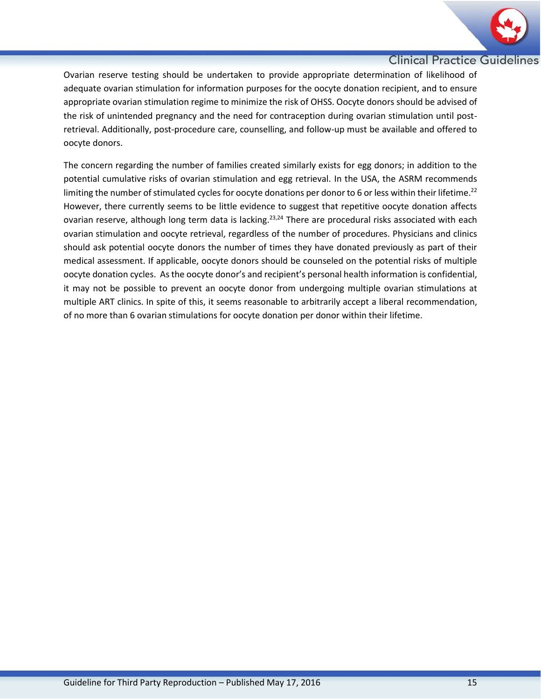

Ovarian reserve testing should be undertaken to provide appropriate determination of likelihood of adequate ovarian stimulation for information purposes for the oocyte donation recipient, and to ensure appropriate ovarian stimulation regime to minimize the risk of OHSS. Oocyte donors should be advised of the risk of unintended pregnancy and the need for contraception during ovarian stimulation until postretrieval. Additionally, post-procedure care, counselling, and follow-up must be available and offered to oocyte donors.

The concern regarding the number of families created similarly exists for egg donors; in addition to the potential cumulative risks of ovarian stimulation and egg retrieval. In the USA, the ASRM recommends limiting the number of stimulated cycles for oocyte donations per donor to 6 or less within their lifetime.<sup>22</sup> However, there currently seems to be little evidence to suggest that repetitive oocyte donation affects ovarian reserve, although long term data is lacking.<sup>23,24</sup> There are procedural risks associated with each ovarian stimulation and oocyte retrieval, regardless of the number of procedures. Physicians and clinics should ask potential oocyte donors the number of times they have donated previously as part of their medical assessment. If applicable, oocyte donors should be counseled on the potential risks of multiple oocyte donation cycles. As the oocyte donor's and recipient's personal health information is confidential, it may not be possible to prevent an oocyte donor from undergoing multiple ovarian stimulations at multiple ART clinics. In spite of this, it seems reasonable to arbitrarily accept a liberal recommendation, of no more than 6 ovarian stimulations for oocyte donation per donor within their lifetime.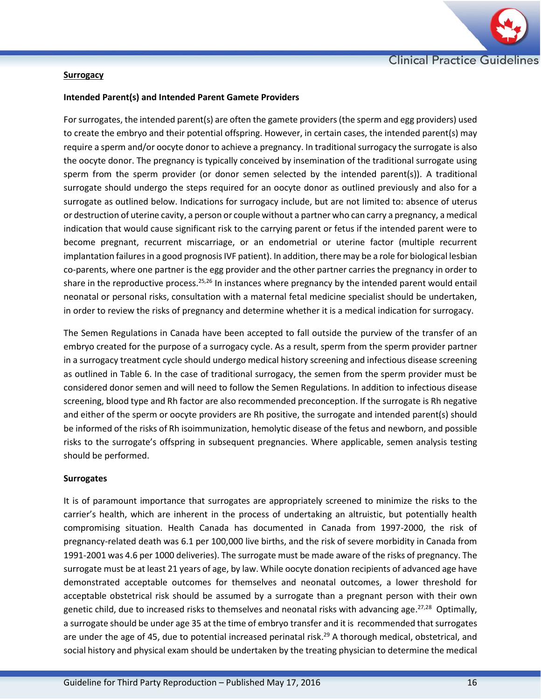

## **Surrogacy**

## **Intended Parent(s) and Intended Parent Gamete Providers**

For surrogates, the intended parent(s) are often the gamete providers (the sperm and egg providers) used to create the embryo and their potential offspring. However, in certain cases, the intended parent(s) may require a sperm and/or oocyte donor to achieve a pregnancy. In traditional surrogacy the surrogate is also the oocyte donor. The pregnancy is typically conceived by insemination of the traditional surrogate using sperm from the sperm provider (or donor semen selected by the intended parent(s)). A traditional surrogate should undergo the steps required for an oocyte donor as outlined previously and also for a surrogate as outlined below. Indications for surrogacy include, but are not limited to: absence of uterus or destruction of uterine cavity, a person or couple without a partner who can carry a pregnancy, a medical indication that would cause significant risk to the carrying parent or fetus if the intended parent were to become pregnant, recurrent miscarriage, or an endometrial or uterine factor (multiple recurrent implantation failures in a good prognosis IVF patient). In addition, there may be a role for biological lesbian co-parents, where one partner is the egg provider and the other partner carries the pregnancy in order to share in the reproductive process.<sup>25,26</sup> In instances where pregnancy by the intended parent would entail neonatal or personal risks, consultation with a maternal fetal medicine specialist should be undertaken, in order to review the risks of pregnancy and determine whether it is a medical indication for surrogacy.

The Semen Regulations in Canada have been accepted to fall outside the purview of the transfer of an embryo created for the purpose of a surrogacy cycle. As a result, sperm from the sperm provider partner in a surrogacy treatment cycle should undergo medical history screening and infectious disease screening as outlined in Table 6. In the case of traditional surrogacy, the semen from the sperm provider must be considered donor semen and will need to follow the Semen Regulations. In addition to infectious disease screening, blood type and Rh factor are also recommended preconception. If the surrogate is Rh negative and either of the sperm or oocyte providers are Rh positive, the surrogate and intended parent(s) should be informed of the risks of Rh isoimmunization, hemolytic disease of the fetus and newborn, and possible risks to the surrogate's offspring in subsequent pregnancies. Where applicable, semen analysis testing should be performed.

#### **Surrogates**

It is of paramount importance that surrogates are appropriately screened to minimize the risks to the carrier's health, which are inherent in the process of undertaking an altruistic, but potentially health compromising situation. Health Canada has documented in Canada from 1997-2000, the risk of pregnancy-related death was 6.1 per 100,000 live births, and the risk of severe morbidity in Canada from 1991-2001 was 4.6 per 1000 deliveries). The surrogate must be made aware of the risks of pregnancy. The surrogate must be at least 21 years of age, by law. While oocyte donation recipients of advanced age have demonstrated acceptable outcomes for themselves and neonatal outcomes, a lower threshold for acceptable obstetrical risk should be assumed by a surrogate than a pregnant person with their own genetic child, due to increased risks to themselves and neonatal risks with advancing age.<sup>27,28</sup> Optimally, a surrogate should be under age 35 at the time of embryo transfer and it is recommended that surrogates are under the age of 45, due to potential increased perinatal risk.<sup>29</sup> A thorough medical, obstetrical, and social history and physical exam should be undertaken by the treating physician to determine the medical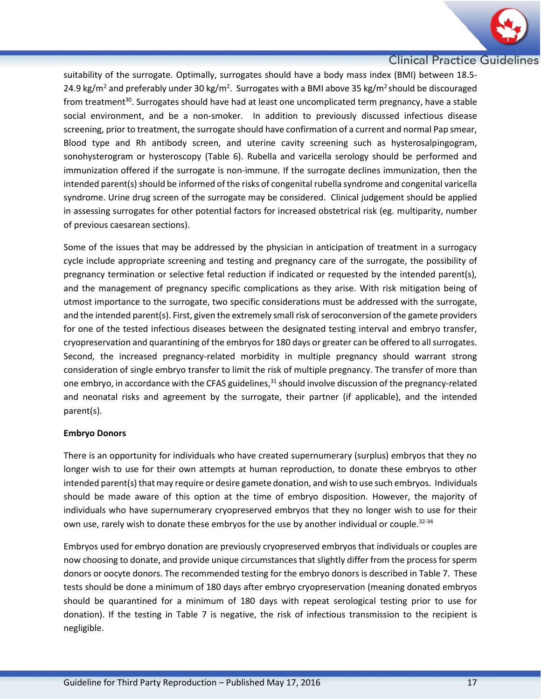

suitability of the surrogate. Optimally, surrogates should have a body mass index (BMI) between 18.5- 24.9 kg/m<sup>2</sup> and preferably under 30 kg/m<sup>2</sup>. Surrogates with a BMI above 35 kg/m<sup>2</sup> should be discouraged from treatment<sup>30</sup>. Surrogates should have had at least one uncomplicated term pregnancy, have a stable social environment, and be a non-smoker. In addition to previously discussed infectious disease screening, prior to treatment, the surrogate should have confirmation of a current and normal Pap smear, Blood type and Rh antibody screen, and uterine cavity screening such as hysterosalpingogram, sonohysterogram or hysteroscopy (Table 6). Rubella and varicella serology should be performed and immunization offered if the surrogate is non-immune. If the surrogate declines immunization, then the intended parent(s) should be informed of the risks of congenital rubella syndrome and congenital varicella syndrome. Urine drug screen of the surrogate may be considered. Clinical judgement should be applied in assessing surrogates for other potential factors for increased obstetrical risk (eg. multiparity, number of previous caesarean sections).

Some of the issues that may be addressed by the physician in anticipation of treatment in a surrogacy cycle include appropriate screening and testing and pregnancy care of the surrogate, the possibility of pregnancy termination or selective fetal reduction if indicated or requested by the intended parent(s), and the management of pregnancy specific complications as they arise. With risk mitigation being of utmost importance to the surrogate, two specific considerations must be addressed with the surrogate, and the intended parent(s). First, given the extremely small risk of seroconversion of the gamete providers for one of the tested infectious diseases between the designated testing interval and embryo transfer, cryopreservation and quarantining of the embryos for 180 days or greater can be offered to all surrogates. Second, the increased pregnancy-related morbidity in multiple pregnancy should warrant strong consideration of single embryo transfer to limit the risk of multiple pregnancy. The transfer of more than one embryo, in accordance with the CFAS guidelines,<sup>31</sup> should involve discussion of the pregnancy-related and neonatal risks and agreement by the surrogate, their partner (if applicable), and the intended parent(s).

# **Embryo Donors**

There is an opportunity for individuals who have created supernumerary (surplus) embryos that they no longer wish to use for their own attempts at human reproduction, to donate these embryos to other intended parent(s) that may require or desire gamete donation, and wish to use such embryos. Individuals should be made aware of this option at the time of embryo disposition. However, the majority of individuals who have supernumerary cryopreserved embryos that they no longer wish to use for their own use, rarely wish to donate these embryos for the use by another individual or couple.<sup>32-34</sup>

Embryos used for embryo donation are previously cryopreserved embryos that individuals or couples are now choosing to donate, and provide unique circumstances that slightly differ from the process for sperm donors or oocyte donors. The recommended testing for the embryo donors is described in Table 7. These tests should be done a minimum of 180 days after embryo cryopreservation (meaning donated embryos should be quarantined for a minimum of 180 days with repeat serological testing prior to use for donation). If the testing in Table 7 is negative, the risk of infectious transmission to the recipient is negligible.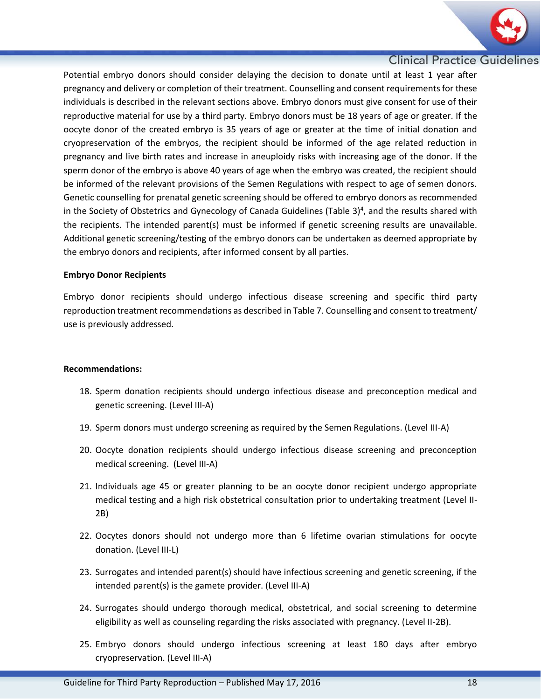

Potential embryo donors should consider delaying the decision to donate until at least 1 year after pregnancy and delivery or completion of their treatment. Counselling and consent requirementsfor these individuals is described in the relevant sections above. Embryo donors must give consent for use of their reproductive material for use by a third party. Embryo donors must be 18 years of age or greater. If the oocyte donor of the created embryo is 35 years of age or greater at the time of initial donation and cryopreservation of the embryos, the recipient should be informed of the age related reduction in pregnancy and live birth rates and increase in aneuploidy risks with increasing age of the donor. If the sperm donor of the embryo is above 40 years of age when the embryo was created, the recipient should be informed of the relevant provisions of the Semen Regulations with respect to age of semen donors. Genetic counselling for prenatal genetic screening should be offered to embryo donors as recommended in the Society of Obstetrics and Gynecology of Canada Guidelines (Table 3)<sup>4</sup>, and the results shared with the recipients. The intended parent(s) must be informed if genetic screening results are unavailable. Additional genetic screening/testing of the embryo donors can be undertaken as deemed appropriate by the embryo donors and recipients, after informed consent by all parties.

#### **Embryo Donor Recipients**

Embryo donor recipients should undergo infectious disease screening and specific third party reproduction treatment recommendations as described in Table 7. Counselling and consent to treatment/ use is previously addressed.

#### **Recommendations:**

- 18. Sperm donation recipients should undergo infectious disease and preconception medical and genetic screening. (Level III-A)
- 19. Sperm donors must undergo screening as required by the Semen Regulations. (Level III-A)
- 20. Oocyte donation recipients should undergo infectious disease screening and preconception medical screening. (Level III-A)
- 21. Individuals age 45 or greater planning to be an oocyte donor recipient undergo appropriate medical testing and a high risk obstetrical consultation prior to undertaking treatment (Level II-2B)
- 22. Oocytes donors should not undergo more than 6 lifetime ovarian stimulations for oocyte donation. (Level III-L)
- 23. Surrogates and intended parent(s) should have infectious screening and genetic screening, if the intended parent(s) is the gamete provider. (Level III-A)
- 24. Surrogates should undergo thorough medical, obstetrical, and social screening to determine eligibility as well as counseling regarding the risks associated with pregnancy. (Level II-2B).
- 25. Embryo donors should undergo infectious screening at least 180 days after embryo cryopreservation. (Level III-A)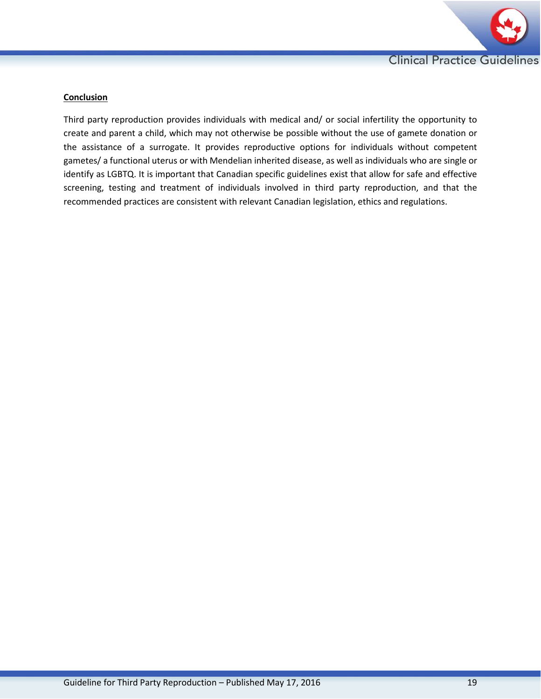

## **Conclusion**

Third party reproduction provides individuals with medical and/ or social infertility the opportunity to create and parent a child, which may not otherwise be possible without the use of gamete donation or the assistance of a surrogate. It provides reproductive options for individuals without competent gametes/ a functional uterus or with Mendelian inherited disease, as well as individuals who are single or identify as LGBTQ. It is important that Canadian specific guidelines exist that allow for safe and effective screening, testing and treatment of individuals involved in third party reproduction, and that the recommended practices are consistent with relevant Canadian legislation, ethics and regulations.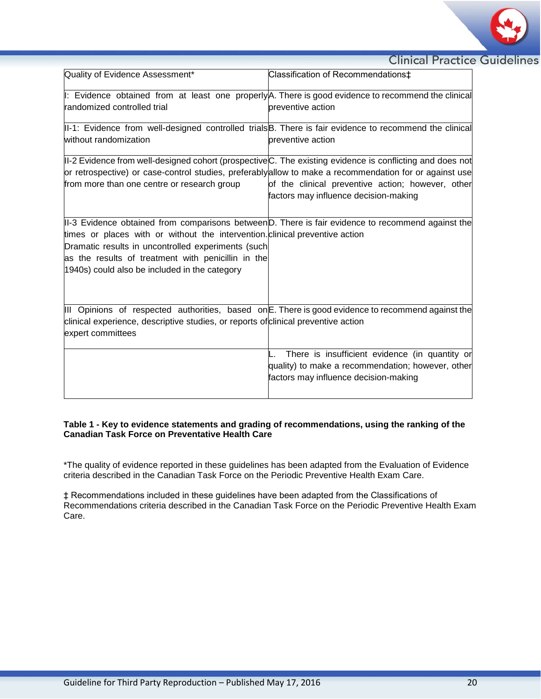

| Quality of Evidence Assessment*                                                    | Classification of Recommendations <sup>+</sup>                                                            |
|------------------------------------------------------------------------------------|-----------------------------------------------------------------------------------------------------------|
|                                                                                    | I: Evidence obtained from at least one properlyA. There is good evidence to recommend the clinical        |
| randomized controlled trial                                                        | preventive action                                                                                         |
|                                                                                    | II-1: Evidence from well-designed controlled trials B. There is fair evidence to recommend the clinical   |
| without randomization                                                              | preventive action                                                                                         |
|                                                                                    | II-2 Evidence from well-designed cohort (prospective C. The existing evidence is conflicting and does not |
|                                                                                    | or retrospective) or case-control studies, preferablyallow to make a recommendation for or against use    |
| from more than one centre or research group                                        | of the clinical preventive action; however, other                                                         |
|                                                                                    | factors may influence decision-making                                                                     |
|                                                                                    |                                                                                                           |
|                                                                                    | II-3 Evidence obtained from comparisons between D. There is fair evidence to recommend against the        |
| times or places with or without the intervention. clinical preventive action       |                                                                                                           |
| Dramatic results in uncontrolled experiments (such                                 |                                                                                                           |
| as the results of treatment with penicillin in the                                 |                                                                                                           |
| 1940s) could also be included in the category                                      |                                                                                                           |
|                                                                                    |                                                                                                           |
|                                                                                    |                                                                                                           |
|                                                                                    | III Opinions of respected authorities, based on E. There is good evidence to recommend against the        |
| clinical experience, descriptive studies, or reports of clinical preventive action |                                                                                                           |
| expert committees                                                                  |                                                                                                           |
|                                                                                    |                                                                                                           |
|                                                                                    | There is insufficient evidence (in quantity or                                                            |
|                                                                                    | quality) to make a recommendation; however, other                                                         |
|                                                                                    | factors may influence decision-making                                                                     |
|                                                                                    |                                                                                                           |

#### **Table 1 - Key to evidence statements and grading of recommendations, using the ranking of the Canadian Task Force on Preventative Health Care**

\*The quality of evidence reported in these guidelines has been adapted from the Evaluation of Evidence criteria described in the Canadian Task Force on the Periodic Preventive Health Exam Care.

‡ Recommendations included in these guidelines have been adapted from the Classifications of Recommendations criteria described in the Canadian Task Force on the Periodic Preventive Health Exam Care.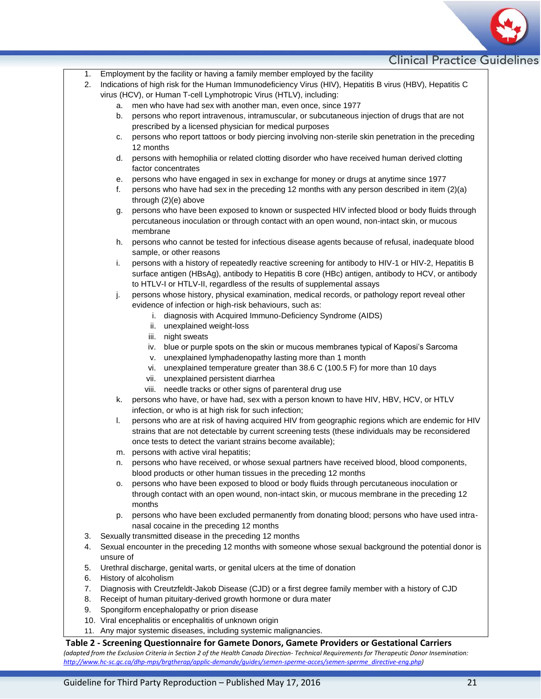

- 1. Employment by the facility or having a family member employed by the facility
- 2. Indications of high risk for the Human Immunodeficiency Virus (HIV), Hepatitis B virus (HBV), Hepatitis C virus (HCV), or Human T-cell Lymphotropic Virus (HTLV), including:
	- a. men who have had sex with another man, even once, since 1977
	- b. persons who report intravenous, intramuscular, or subcutaneous injection of drugs that are not prescribed by a licensed physician for medical purposes
	- c. persons who report tattoos or body piercing involving non-sterile skin penetration in the preceding 12 months
	- d. persons with hemophilia or related clotting disorder who have received human derived clotting factor concentrates
	- e. persons who have engaged in sex in exchange for money or drugs at anytime since 1977
	- f. persons who have had sex in the preceding 12 months with any person described in item (2)(a) through (2)(e) above
	- g. persons who have been exposed to known or suspected HIV infected blood or body fluids through percutaneous inoculation or through contact with an open wound, non-intact skin, or mucous membrane
	- h. persons who cannot be tested for infectious disease agents because of refusal, inadequate blood sample, or other reasons
	- i. persons with a history of repeatedly reactive screening for antibody to HIV-1 or HIV-2, Hepatitis B surface antigen (HBsAg), antibody to Hepatitis B core (HBc) antigen, antibody to HCV, or antibody to HTLV-I or HTLV-II, regardless of the results of supplemental assays
	- j. persons whose history, physical examination, medical records, or pathology report reveal other evidence of infection or high-risk behaviours, such as:
		- i. diagnosis with Acquired Immuno-Deficiency Syndrome (AIDS)
		- ii. unexplained weight-loss
		- iii. night sweats
		- iv. blue or purple spots on the skin or mucous membranes typical of Kaposi's Sarcoma
		- v. unexplained lymphadenopathy lasting more than 1 month
		- vi. unexplained temperature greater than 38.6 C (100.5 F) for more than 10 days
		- vii. unexplained persistent diarrhea
		- viii. needle tracks or other signs of parenteral drug use
	- k. persons who have, or have had, sex with a person known to have HIV, HBV, HCV, or HTLV infection, or who is at high risk for such infection:
	- l. persons who are at risk of having acquired HIV from geographic regions which are endemic for HIV strains that are not detectable by current screening tests (these individuals may be reconsidered once tests to detect the variant strains become available);
	- m. persons with active viral hepatitis;
	- n. persons who have received, or whose sexual partners have received blood, blood components, blood products or other human tissues in the preceding 12 months
	- o. persons who have been exposed to blood or body fluids through percutaneous inoculation or through contact with an open wound, non-intact skin, or mucous membrane in the preceding 12 months
	- p. persons who have been excluded permanently from donating blood; persons who have used intranasal cocaine in the preceding 12 months
- 3. Sexually transmitted disease in the preceding 12 months
- 4. Sexual encounter in the preceding 12 months with someone whose sexual background the potential donor is unsure of
- 5. Urethral discharge, genital warts, or genital ulcers at the time of donation
- 6. History of alcoholism
- 7. Diagnosis with Creutzfeldt-Jakob Disease (CJD) or a first degree family member with a history of CJD
- 8. Receipt of human pituitary-derived growth hormone or dura mater
- 9. Spongiform encephalopathy or prion disease
- 10. Viral encephalitis or encephalitis of unknown origin
- 11. Any major systemic diseases, including systemic malignancies.

#### **Table 2 - Screening Questionnaire for Gamete Donors, Gamete Providers or Gestational Carriers**

*(adapted from the Exclusion Criteria in Section 2 of the Health Canada Direction- Technical Requirements for Therapeutic Donor Insemination: [http://www.hc-sc.gc.ca/dhp-mps/brgtherap/applic-demande/guides/semen-sperme-acces/semen-sperme\\_directive-eng.php\)](http://www.hc-sc.gc.ca/dhp-mps/brgtherap/applic-demande/guides/semen-sperme-acces/semen-sperme_directive-eng.php)*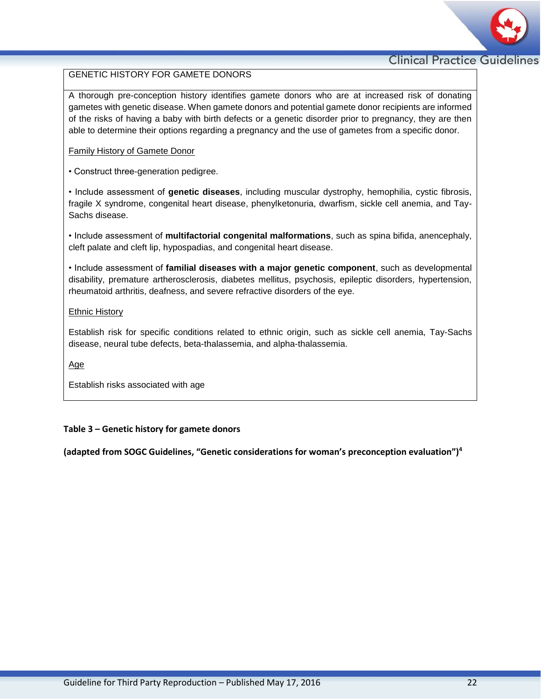

# GENETIC HISTORY FOR GAMETE DONORS

A thorough pre-conception history identifies gamete donors who are at increased risk of donating gametes with genetic disease. When gamete donors and potential gamete donor recipients are informed of the risks of having a baby with birth defects or a genetic disorder prior to pregnancy, they are then able to determine their options regarding a pregnancy and the use of gametes from a specific donor.

#### Family History of Gamete Donor

• Construct three-generation pedigree.

• Include assessment of **genetic diseases**, including muscular dystrophy, hemophilia, cystic fibrosis, fragile X syndrome, congenital heart disease, phenylketonuria, dwarfism, sickle cell anemia, and Tay-Sachs disease.

• Include assessment of **multifactorial congenital malformations**, such as spina bifida, anencephaly, cleft palate and cleft lip, hypospadias, and congenital heart disease.

• Include assessment of **familial diseases with a major genetic component**, such as developmental disability, premature artherosclerosis, diabetes mellitus, psychosis, epileptic disorders, hypertension, rheumatoid arthritis, deafness, and severe refractive disorders of the eye.

#### Ethnic History

Establish risk for specific conditions related to ethnic origin, such as sickle cell anemia, Tay-Sachs disease, neural tube defects, beta-thalassemia, and alpha-thalassemia.

Age

Establish risks associated with age

# **Table 3 – Genetic history for gamete donors**

**(adapted from SOGC Guidelines, "Genetic considerations for woman's preconception evaluation")4**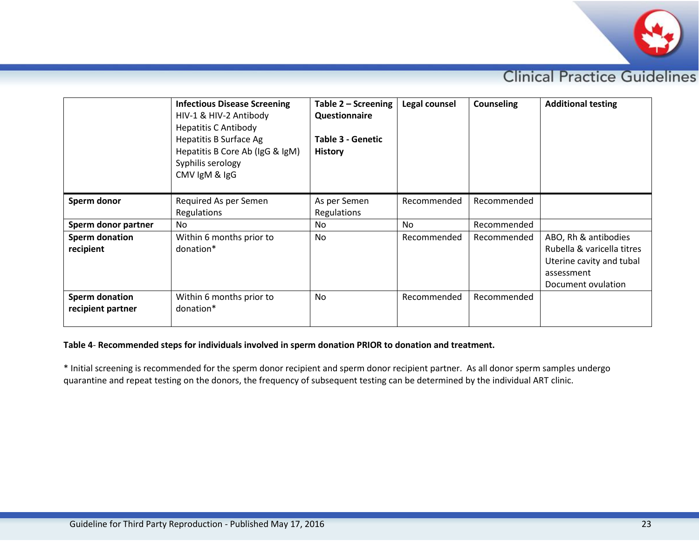

|                                     | <b>Infectious Disease Screening</b><br>HIV-1 & HIV-2 Antibody<br><b>Hepatitis C Antibody</b><br>Hepatitis B Surface Ag<br>Hepatitis B Core Ab (IgG & IgM)<br>Syphilis serology<br>CMV IgM & IgG | Table $2 -$ Screening<br>Questionnaire<br><b>Table 3 - Genetic</b><br><b>History</b> | Legal counsel | <b>Counseling</b> | <b>Additional testing</b>                                                                                          |
|-------------------------------------|-------------------------------------------------------------------------------------------------------------------------------------------------------------------------------------------------|--------------------------------------------------------------------------------------|---------------|-------------------|--------------------------------------------------------------------------------------------------------------------|
| Sperm donor                         | Required As per Semen<br>Regulations                                                                                                                                                            | As per Semen<br>Regulations                                                          | Recommended   | Recommended       |                                                                                                                    |
| Sperm donor partner                 | No.                                                                                                                                                                                             | No                                                                                   | No            | Recommended       |                                                                                                                    |
| Sperm donation<br>recipient         | Within 6 months prior to<br>donation*                                                                                                                                                           | No                                                                                   | Recommended   | Recommended       | ABO, Rh & antibodies<br>Rubella & varicella titres<br>Uterine cavity and tubal<br>assessment<br>Document ovulation |
| Sperm donation<br>recipient partner | Within 6 months prior to<br>donation*                                                                                                                                                           | <b>No</b>                                                                            | Recommended   | Recommended       |                                                                                                                    |

# **Table 4**- **Recommended steps for individuals involved in sperm donation PRIOR to donation and treatment.**

\* Initial screening is recommended for the sperm donor recipient and sperm donor recipient partner. As all donor sperm samples undergo quarantine and repeat testing on the donors, the frequency of subsequent testing can be determined by the individual ART clinic.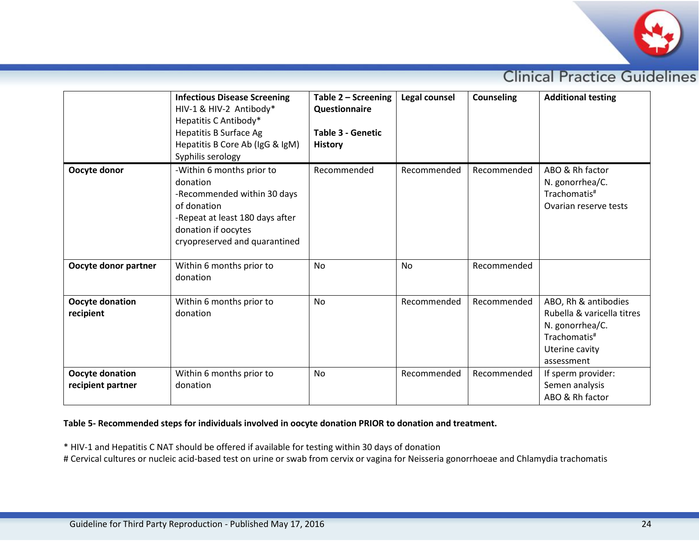

|                                      | <b>Infectious Disease Screening</b><br>HIV-1 & HIV-2 Antibody*<br>Hepatitis C Antibody*<br><b>Hepatitis B Surface Ag</b><br>Hepatitis B Core Ab (IgG & IgM)<br>Syphilis serology | Table 2 - Screening<br>Questionnaire<br>Table 3 - Genetic<br><b>History</b> | Legal counsel | <b>Counseling</b> | <b>Additional testing</b>                                                                                                         |
|--------------------------------------|----------------------------------------------------------------------------------------------------------------------------------------------------------------------------------|-----------------------------------------------------------------------------|---------------|-------------------|-----------------------------------------------------------------------------------------------------------------------------------|
| Oocyte donor                         | -Within 6 months prior to<br>donation<br>-Recommended within 30 days<br>of donation<br>-Repeat at least 180 days after<br>donation if oocytes<br>cryopreserved and quarantined   | Recommended                                                                 | Recommended   | Recommended       | ABO & Rh factor<br>N. gonorrhea/C.<br>Trachomatis <sup>#</sup><br>Ovarian reserve tests                                           |
| Oocyte donor partner                 | Within 6 months prior to<br>donation                                                                                                                                             | <b>No</b>                                                                   | <b>No</b>     | Recommended       |                                                                                                                                   |
| Oocyte donation<br>recipient         | Within 6 months prior to<br>donation                                                                                                                                             | <b>No</b>                                                                   | Recommended   | Recommended       | ABO, Rh & antibodies<br>Rubella & varicella titres<br>N. gonorrhea/C.<br>Trachomatis <sup>#</sup><br>Uterine cavity<br>assessment |
| Oocyte donation<br>recipient partner | Within 6 months prior to<br>donation                                                                                                                                             | <b>No</b>                                                                   | Recommended   | Recommended       | If sperm provider:<br>Semen analysis<br>ABO & Rh factor                                                                           |

# **Table 5- Recommended steps for individuals involved in oocyte donation PRIOR to donation and treatment.**

\* HIV-1 and Hepatitis C NAT should be offered if available for testing within 30 days of donation

# Cervical cultures or nucleic acid-based test on urine or swab from cervix or vagina for Neisseria gonorrhoeae and Chlamydia trachomatis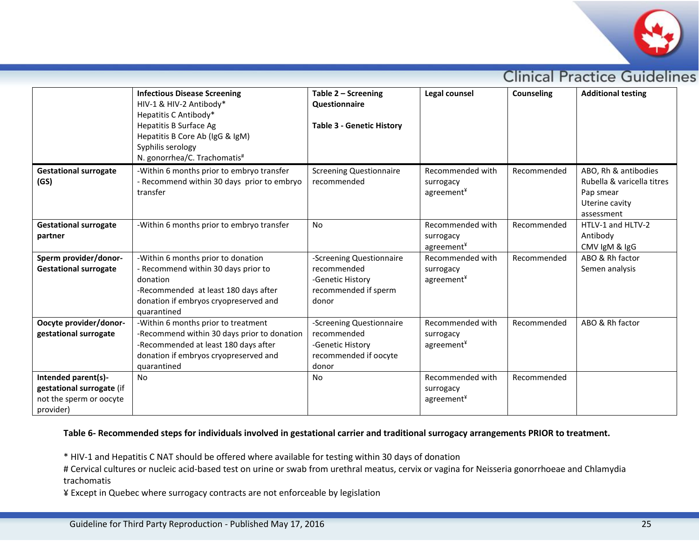

|                                                                                          | <b>Infectious Disease Screening</b><br>HIV-1 & HIV-2 Antibody*<br>Hepatitis C Antibody*<br>Hepatitis B Surface Ag<br>Hepatitis B Core Ab (IgG & IgM)<br>Syphilis serology<br>N. gonorrhea/C. Trachomatis# | Table 2 - Screening<br>Questionnaire<br><b>Table 3 - Genetic History</b>                      | Legal counsel                               | <b>Counseling</b> | <b>Additional testing</b>                                                                       |
|------------------------------------------------------------------------------------------|-----------------------------------------------------------------------------------------------------------------------------------------------------------------------------------------------------------|-----------------------------------------------------------------------------------------------|---------------------------------------------|-------------------|-------------------------------------------------------------------------------------------------|
| <b>Gestational surrogate</b><br>(GS)                                                     | -Within 6 months prior to embryo transfer<br>- Recommend within 30 days prior to embryo<br>transfer                                                                                                       | <b>Screening Questionnaire</b><br>recommended                                                 | Recommended with<br>surrogacy<br>agreement¥ | Recommended       | ABO, Rh & antibodies<br>Rubella & varicella titres<br>Pap smear<br>Uterine cavity<br>assessment |
| <b>Gestational surrogate</b><br>partner                                                  | -Within 6 months prior to embryo transfer                                                                                                                                                                 | <b>No</b>                                                                                     | Recommended with<br>surrogacy<br>agreement¥ | Recommended       | HTLV-1 and HLTV-2<br>Antibody<br>CMV IgM & IgG                                                  |
| Sperm provider/donor-<br><b>Gestational surrogate</b>                                    | -Within 6 months prior to donation<br>- Recommend within 30 days prior to<br>donation<br>-Recommended at least 180 days after<br>donation if embryos cryopreserved and<br>quarantined                     | -Screening Questionnaire<br>recommended<br>-Genetic History<br>recommended if sperm<br>donor  | Recommended with<br>surrogacy<br>agreement¥ | Recommended       | ABO & Rh factor<br>Semen analysis                                                               |
| Oocyte provider/donor-<br>gestational surrogate                                          | -Within 6 months prior to treatment<br>-Recommend within 30 days prior to donation<br>-Recommended at least 180 days after<br>donation if embryos cryopreserved and<br>quarantined                        | -Screening Questionnaire<br>recommended<br>-Genetic History<br>recommended if oocyte<br>donor | Recommended with<br>surrogacy<br>agreement* | Recommended       | ABO & Rh factor                                                                                 |
| Intended parent(s)-<br>gestational surrogate (if<br>not the sperm or oocyte<br>provider) | <b>No</b>                                                                                                                                                                                                 | No                                                                                            | Recommended with<br>surrogacy<br>agreement¥ | Recommended       |                                                                                                 |

## **Table 6- Recommended steps for individuals involved in gestational carrier and traditional surrogacy arrangements PRIOR to treatment.**

\* HIV-1 and Hepatitis C NAT should be offered where available for testing within 30 days of donation

# Cervical cultures or nucleic acid-based test on urine or swab from urethral meatus, cervix or vagina for Neisseria gonorrhoeae and Chlamydia trachomatis

¥ Except in Quebec where surrogacy contracts are not enforceable by legislation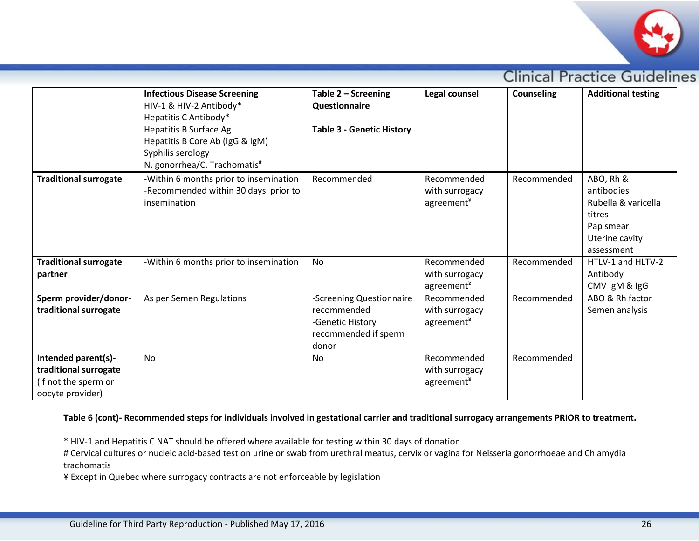

|                                                                                          | <b>Infectious Disease Screening</b><br>HIV-1 & HIV-2 Antibody*<br>Hepatitis C Antibody*<br>Hepatitis B Surface Ag<br>Hepatitis B Core Ab (IgG & IgM)<br>Syphilis serology<br>N. gonorrhea/C. Trachomatis# | Table 2 - Screening<br><b>Questionnaire</b><br><b>Table 3 - Genetic History</b>              | Legal counsel                                 | <b>Counseling</b> | <b>Additional testing</b>                                                                             |
|------------------------------------------------------------------------------------------|-----------------------------------------------------------------------------------------------------------------------------------------------------------------------------------------------------------|----------------------------------------------------------------------------------------------|-----------------------------------------------|-------------------|-------------------------------------------------------------------------------------------------------|
| <b>Traditional surrogate</b>                                                             | -Within 6 months prior to insemination<br>-Recommended within 30 days prior to<br>insemination                                                                                                            | Recommended                                                                                  | Recommended<br>with surrogacy<br>agreement¥   | Recommended       | ABO, Rh &<br>antibodies<br>Rubella & varicella<br>titres<br>Pap smear<br>Uterine cavity<br>assessment |
| <b>Traditional surrogate</b><br>partner                                                  | -Within 6 months prior to insemination                                                                                                                                                                    | No                                                                                           | Recommended<br>with surrogacy<br>$agreement*$ | Recommended       | HTLV-1 and HLTV-2<br>Antibody<br>CMV IgM & IgG                                                        |
| Sperm provider/donor-<br>traditional surrogate                                           | As per Semen Regulations                                                                                                                                                                                  | -Screening Questionnaire<br>recommended<br>-Genetic History<br>recommended if sperm<br>donor | Recommended<br>with surrogacy<br>agreement¥   | Recommended       | ABO & Rh factor<br>Semen analysis                                                                     |
| Intended parent(s)-<br>traditional surrogate<br>(if not the sperm or<br>oocyte provider) | <b>No</b>                                                                                                                                                                                                 | No                                                                                           | Recommended<br>with surrogacy<br>agreement¥   | Recommended       |                                                                                                       |

#### **Table 6 (cont)- Recommended steps for individuals involved in gestational carrier and traditional surrogacy arrangements PRIOR to treatment.**

\* HIV-1 and Hepatitis C NAT should be offered where available for testing within 30 days of donation

# Cervical cultures or nucleic acid-based test on urine or swab from urethral meatus, cervix or vagina for Neisseria gonorrhoeae and Chlamydia trachomatis

¥ Except in Quebec where surrogacy contracts are not enforceable by legislation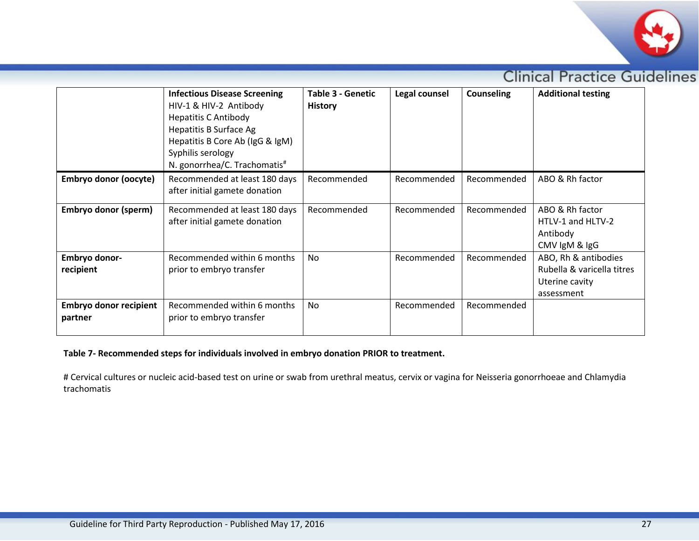

|                                          | <b>Infectious Disease Screening</b><br>HIV-1 & HIV-2 Antibody<br><b>Hepatitis C Antibody</b><br>Hepatitis B Surface Ag<br>Hepatitis B Core Ab (IgG & IgM)<br>Syphilis serology<br>N. gonorrhea/C. Trachomatis# | Table 3 - Genetic<br><b>History</b> | Legal counsel | <b>Counseling</b> | <b>Additional testing</b>                                                          |
|------------------------------------------|----------------------------------------------------------------------------------------------------------------------------------------------------------------------------------------------------------------|-------------------------------------|---------------|-------------------|------------------------------------------------------------------------------------|
| <b>Embryo donor (oocyte)</b>             | Recommended at least 180 days<br>after initial gamete donation                                                                                                                                                 | Recommended                         | Recommended   | Recommended       | ABO & Rh factor                                                                    |
| Embryo donor (sperm)                     | Recommended at least 180 days<br>after initial gamete donation                                                                                                                                                 | Recommended                         | Recommended   | Recommended       | ABO & Rh factor<br>HTLV-1 and HLTV-2<br>Antibody<br>CMV IgM & IgG                  |
| Embryo donor-<br>recipient               | Recommended within 6 months<br>prior to embryo transfer                                                                                                                                                        | <b>No</b>                           | Recommended   | Recommended       | ABO, Rh & antibodies<br>Rubella & varicella titres<br>Uterine cavity<br>assessment |
| <b>Embryo donor recipient</b><br>partner | Recommended within 6 months<br>prior to embryo transfer                                                                                                                                                        | No.                                 | Recommended   | Recommended       |                                                                                    |

# **Table 7- Recommended steps for individuals involved in embryo donation PRIOR to treatment.**

# Cervical cultures or nucleic acid-based test on urine or swab from urethral meatus, cervix or vagina for Neisseria gonorrhoeae and Chlamydia trachomatis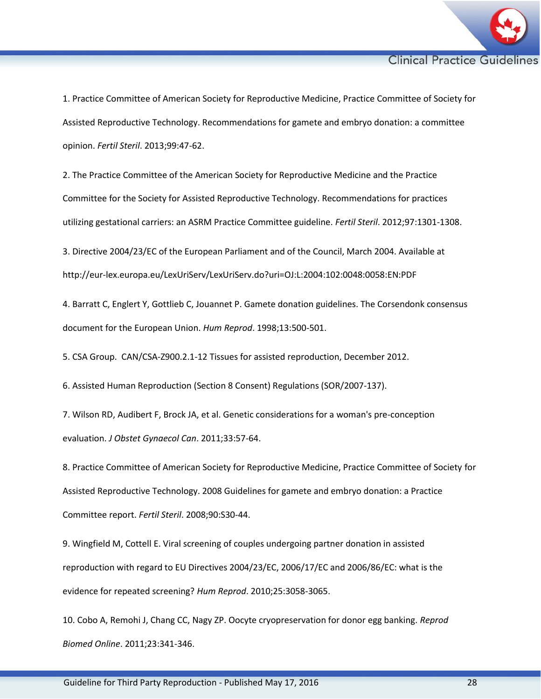

1. Practice Committee of American Society for Reproductive Medicine, Practice Committee of Society for Assisted Reproductive Technology. Recommendations for gamete and embryo donation: a committee opinion. *Fertil Steril*. 2013;99:47-62.

2. The Practice Committee of the American Society for Reproductive Medicine and the Practice Committee for the Society for Assisted Reproductive Technology. Recommendations for practices utilizing gestational carriers: an ASRM Practice Committee guideline. *Fertil Steril*. 2012;97:1301-1308.

3. Directive 2004/23/EC of the European Parliament and of the Council, March 2004. Available at http://eur-lex.europa.eu/LexUriServ/LexUriServ.do?uri=OJ:L:2004:102:0048:0058:EN:PDF

4. Barratt C, Englert Y, Gottlieb C, Jouannet P. Gamete donation guidelines. The Corsendonk consensus document for the European Union. *Hum Reprod*. 1998;13:500-501.

5. CSA Group. CAN/CSA-Z900.2.1-12 Tissues for assisted reproduction, December 2012.

6. Assisted Human Reproduction (Section 8 Consent) Regulations (SOR/2007-137).

7. Wilson RD, Audibert F, Brock JA, et al. Genetic considerations for a woman's pre-conception evaluation. *J Obstet Gynaecol Can*. 2011;33:57-64.

8. Practice Committee of American Society for Reproductive Medicine, Practice Committee of Society for Assisted Reproductive Technology. 2008 Guidelines for gamete and embryo donation: a Practice Committee report. *Fertil Steril*. 2008;90:S30-44.

9. Wingfield M, Cottell E. Viral screening of couples undergoing partner donation in assisted reproduction with regard to EU Directives 2004/23/EC, 2006/17/EC and 2006/86/EC: what is the evidence for repeated screening? *Hum Reprod*. 2010;25:3058-3065.

10. Cobo A, Remohi J, Chang CC, Nagy ZP. Oocyte cryopreservation for donor egg banking. *Reprod Biomed Online*. 2011;23:341-346.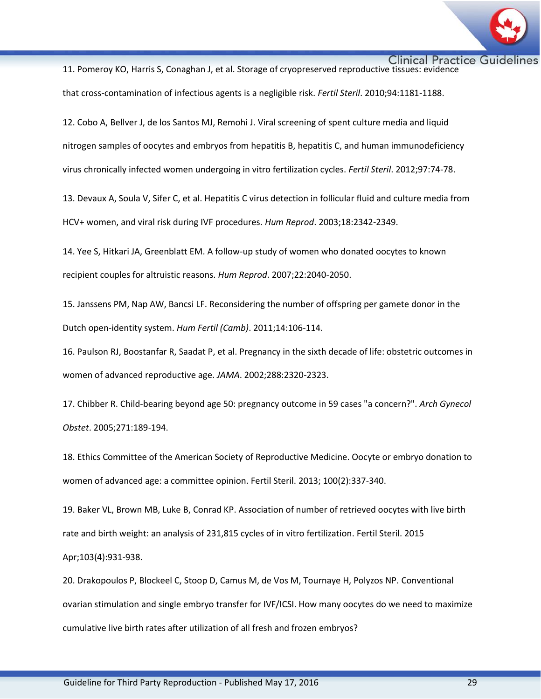

Clinical Practice Guidelines<br>11. Pomeroy KO, Harris S, Conaghan J, et al. Storage of cryopreserved reproductive tissues: evidence that cross-contamination of infectious agents is a negligible risk. *Fertil Steril*. 2010;94:1181-1188.

12. Cobo A, Bellver J, de los Santos MJ, Remohi J. Viral screening of spent culture media and liquid nitrogen samples of oocytes and embryos from hepatitis B, hepatitis C, and human immunodeficiency virus chronically infected women undergoing in vitro fertilization cycles. *Fertil Steril*. 2012;97:74-78.

13. Devaux A, Soula V, Sifer C, et al. Hepatitis C virus detection in follicular fluid and culture media from HCV+ women, and viral risk during IVF procedures. *Hum Reprod*. 2003;18:2342-2349.

14. Yee S, Hitkari JA, Greenblatt EM. A follow-up study of women who donated oocytes to known recipient couples for altruistic reasons. *Hum Reprod*. 2007;22:2040-2050.

15. Janssens PM, Nap AW, Bancsi LF. Reconsidering the number of offspring per gamete donor in the Dutch open-identity system. *Hum Fertil (Camb)*. 2011;14:106-114.

16. Paulson RJ, Boostanfar R, Saadat P, et al. Pregnancy in the sixth decade of life: obstetric outcomes in women of advanced reproductive age. *JAMA*. 2002;288:2320-2323.

17. Chibber R. Child-bearing beyond age 50: pregnancy outcome in 59 cases "a concern?". *Arch Gynecol Obstet*. 2005;271:189-194.

18. Ethics Committee of the American Society of Reproductive Medicine. Oocyte or embryo donation to women of advanced age: a committee opinion. Fertil Steril. 2013; 100(2):337-340.

19. Baker VL, Brown MB, Luke B, Conrad KP. Association of number of retrieved oocytes with live birth rate and birth weight: an analysis of 231,815 cycles of in vitro fertilization. Fertil Steril. 2015 Apr;103(4):931-938.

20. Drakopoulos P, Blockeel C, Stoop D, Camus M, de Vos M, Tournaye H, Polyzos NP. Conventional ovarian stimulation and single embryo transfer for IVF/ICSI. How many oocytes do we need to maximize cumulative live birth rates after utilization of all fresh and frozen embryos?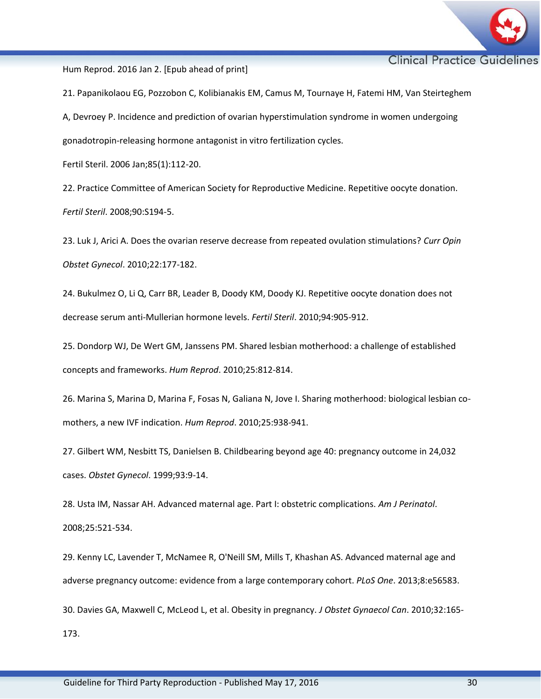

Hum Reprod. 2016 Jan 2. [Epub ahead of print]

21. Papanikolaou EG, Pozzobon C, Kolibianakis EM, Camus M, Tournaye H, Fatemi HM, Van Steirteghem A, Devroey P. Incidence and prediction of ovarian hyperstimulation syndrome in women undergoing gonadotropin-releasing hormone antagonist in vitro fertilization cycles.

Fertil Steril. 2006 Jan;85(1):112-20.

22. Practice Committee of American Society for Reproductive Medicine. Repetitive oocyte donation. *Fertil Steril*. 2008;90:S194-5.

23. Luk J, Arici A. Does the ovarian reserve decrease from repeated ovulation stimulations? *Curr Opin Obstet Gynecol*. 2010;22:177-182.

24. Bukulmez O, Li Q, Carr BR, Leader B, Doody KM, Doody KJ. Repetitive oocyte donation does not decrease serum anti-Mullerian hormone levels. *Fertil Steril*. 2010;94:905-912.

25. Dondorp WJ, De Wert GM, Janssens PM. Shared lesbian motherhood: a challenge of established concepts and frameworks. *Hum Reprod*. 2010;25:812-814.

26. Marina S, Marina D, Marina F, Fosas N, Galiana N, Jove I. Sharing motherhood: biological lesbian comothers, a new IVF indication. *Hum Reprod*. 2010;25:938-941.

27. Gilbert WM, Nesbitt TS, Danielsen B. Childbearing beyond age 40: pregnancy outcome in 24,032 cases. *Obstet Gynecol*. 1999;93:9-14.

28. Usta IM, Nassar AH. Advanced maternal age. Part I: obstetric complications. *Am J Perinatol*. 2008;25:521-534.

29. Kenny LC, Lavender T, McNamee R, O'Neill SM, Mills T, Khashan AS. Advanced maternal age and adverse pregnancy outcome: evidence from a large contemporary cohort. *PLoS One*. 2013;8:e56583.

30. Davies GA, Maxwell C, McLeod L, et al. Obesity in pregnancy. *J Obstet Gynaecol Can*. 2010;32:165-

173.